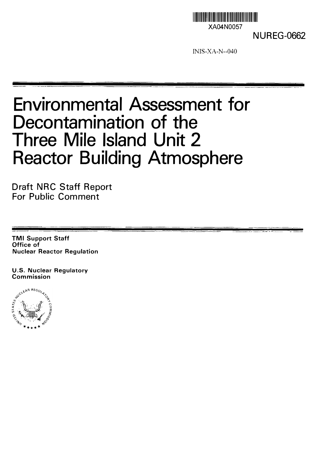

NUREG-0662

INIS-XA-N--040

# Environmental Assessment for Decontamination of the Three Mile Island Unit 2 Reactor Building Atmosphere

Draft NRC Staff Report For Public Comment

TMI Support Staff Office of Nuclear Reactor Regulation

U.S. Nuclear Regulatory

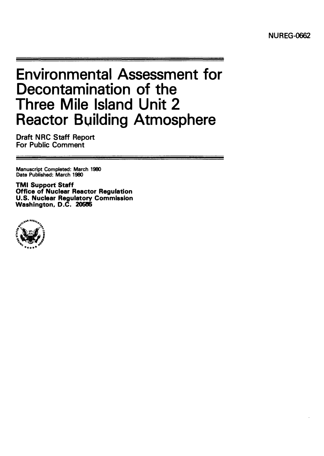# Environmental Assessment for Decontamination of the Three Mile Island Unit 2 Reactor Building Atmosphere

Draft NRC Staff Report For Public Comment

Manuscript Completed: March 1980 Date Published: March 1980

TMI Support Staff Office of Nuclear Reactor Regulation U.S. Nuclear Regulatory Commission Washington, D.C. 20555

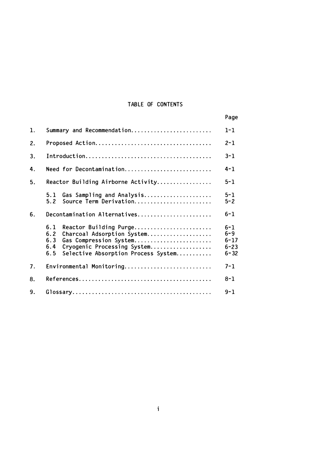### TABLE OF CONTENTS

|                |                                                                                                                                                                                         | Page                                                   |
|----------------|-----------------------------------------------------------------------------------------------------------------------------------------------------------------------------------------|--------------------------------------------------------|
| 1.             | Summary and Recommendation                                                                                                                                                              | $1 - 1$                                                |
| 2.             |                                                                                                                                                                                         | $2 - 1$                                                |
| 3.             |                                                                                                                                                                                         | $3 - 1$                                                |
| 4.             | Need for Decontamination                                                                                                                                                                | $4 - 1$                                                |
| 5 <sub>1</sub> | Reactor Building Airborne Activity                                                                                                                                                      | $5 - 1$                                                |
|                | Gas Sampling and Analysis<br>5.1<br>Source Term Derivation<br>5.2                                                                                                                       | $5 - 1$<br>$5 - 2$                                     |
| 6.             | Decontamination Alternatives                                                                                                                                                            | $6 - 1$                                                |
|                | 6.1<br>Reactor Building Purge<br>6.2<br>Charcoal Adsorption System<br>Gas Compression System<br>6.3<br>Cryogenic Processing System<br>6.4<br>Selective Absorption Process System<br>6.5 | $6 - 1$<br>$6 - 9$<br>$6 - 17$<br>$6 - 23$<br>$6 - 32$ |
| 7.             | Environmental Monitoring                                                                                                                                                                | $7 - 1$                                                |
| 8.             |                                                                                                                                                                                         | $8 - 1$                                                |
| 9.             |                                                                                                                                                                                         | $9 - 1$                                                |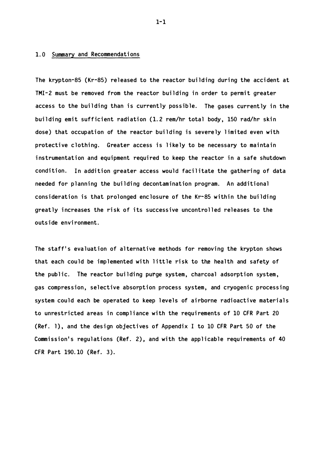#### 1.0 Summary and Recommendations

The krypton-85 ( $Kr-85$ ) released to the reactor building during the accident at TMI-2 must be removed from the reactor building in order to permit greater access to the building than is currently possible. The gases currently in the building emit sufficient radiation (1.2 rem/hr total body, 150 rad/hr skin dose) that occupation of the reactor building is severely limited even with protective clothing. Greater access is likely to be necessary to maintain instrumentation and equipment required to keep the reactor in a safe shutdown condition. In addition greater access would facilitate the gathering of data needed for planning the building decontamination program. An additional consideration is that prolonged enclosure of the Kr-85 within the building greatly increases the risk of its successive uncontrolled releases to the outside envi ronment.

The staff's evaluation of alternative methods for removing the krypton shows that each could be implemented with little risk to the health and safety of the public. The reactor building purge system, charcoal adsorption system, gas compression, selective absorption process system, and cryogenic processing system could each be operated to keep levels of airborne radioactive materials to unrestricted areas in compliance with the requirements of 10 CFR Part 20 (Ref. 1), and the design objectives of Appendix I to 10 CFR Part 50 of the Commission's regulations (Ref. 2), and with the applicable requirements of 40 CFR Part 190.10 (Ref. 3 ).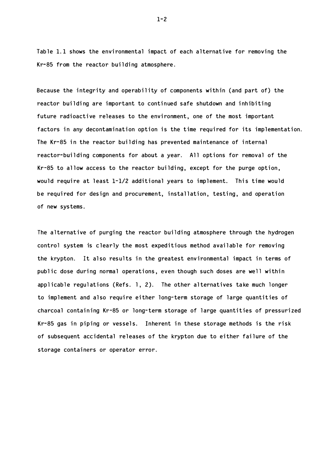Table 1.1 shows the environmental impact of each alternative for removing the  $Kr-85$  from the reactor building atmosphere.

Because the integrity and operability of components within (and part of) the reactor building are important to continued safe shutdown and inhibiting future radioactive releases to the environment, one of the most important factors in any decontamination option is the time required for its implementation. The Kr-85 in the reactor building has prevented maintenance of internal reactor-building components for about a year. All options for removal of the Kr-85 to allow access to the reactor building, except for the purge option, would require at least  $1-1/2$  additional years to implement. This time would be required for design and procurement, installation, testing, and operation of new sys tems.

The alternative of purging the reactor building atmosphere through the hydrogen control system is clearly the most expeditious method available for removing the krypton. It also results in the greatest environmental impact in terms of public dose during normal operations, even though such doses are well within applicable regulations (Refs. 1, 2). The other alternatives take much longer to implement and also require either long-term storage of large quantities of charcoal containing Kr-85 or long-term storage of large quantities of pressurized Kr-85 gas in piping or vessels. Inherent in these storage methods is the risk of subsequent accidental releases of the krypton due to either failure of the storage containers or operator error.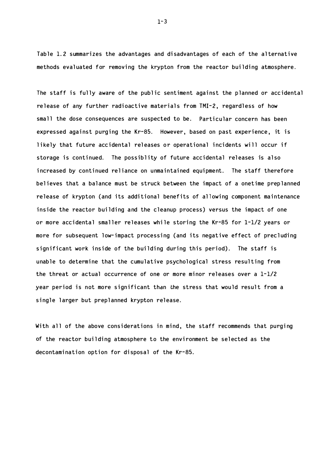Table 1.2 summarizes the advantages and disadvantages of each of the alternative methods evaluated for removing the krypton from the reactor building atmosphere.

The staff is fully aware of the public sentiment against the planned or accidental release of any further radioactive materials from TMI-2, regardless of how small the dose consequences are suspected to be. Particular concern has been expressed against purging the Kr-85. However, based on past experience, it is likely that future accidental releases or operational incidents will occur if storage is continued. The possiblity of future accidental releases is also increased by continued reliance on unmaintained equipment. The staff therefore believes that a balance must be struck between the impact of a onetime preplanned release of krypton (and its additional benefits of allowing component maintenance inside the reactor building and the cleanup process) versus the impact of one or more accidental smaller releases while storing the Kr-85 for 1-1/2 years or more for subsequent low-impact processing (and its negative effect of precluding significant work inside of the building during this period). The staff is unable to determine that the cumulative psychological stress resulting from the threat or actual occurrence of one or more minor releases over a  $1-1/2$ year period is not more significant than the stress that would result from a single larger but preplanned krypton release.

With all of the above considerations in mind, the staff recommends that purging of the reactor building atmosphere to the environment be selected as the decontamination option for disposal of the Kr-85.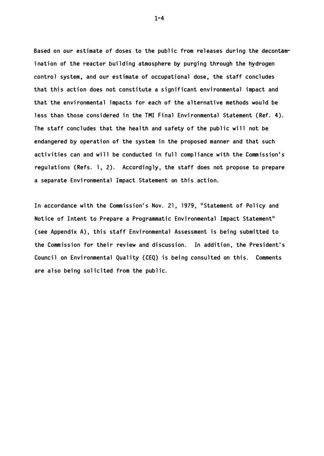Based on our estimate of doses to the public from releases during the decontamination of the reactor building atmosphere by purging through the hydrogen control system, and our estimate of occupational dose, the staff concludes that this action does not constitute a significant environmental impact and that the environmental impacts for each of the alternative methods would be less than those considered in the TMI Final Environmental Statement (Ref. 4). The staff concludes that the health and safety of the public will not be endangered by operation of the system in the proposed manner and that such activities can and will be conducted in full compliance with the Commission's regulations (Refs. 1, 2). Accordingly, the staff does not propose to prepare a separate Environmental Impact Statement on this action.

In accordance with the Commission's Nov. 21, 1979, "Statement of Policy and Notice of Intent to Prepare a Programmatic Environmental Impact Statement" (see Appendix A), this staff Environmental Assessment is being submitted to the Commission for their review and discussion. In addition, the President's Council on Environmental Quality (CEQ) is being consulted on this. Comments are also being solicited from the public.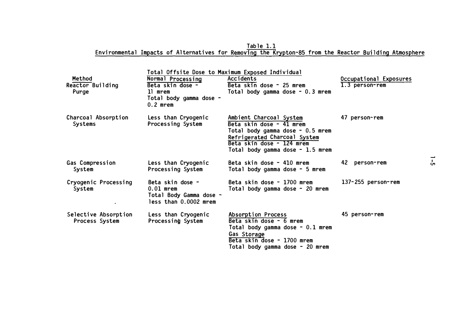<u>Table 1.1</u> Environmental Impacts of Alternatives for Removing the Krypton-85 from the Reactor Building Atmosphere

| <b>Method</b><br>Reactor Building<br>Purge | Normal Processing<br>Beta skin dose -<br>11 mrem<br>Total body gamma dose -<br>$0.2$ mrem | Total Offsite Dose to Maximum Exposed Individual<br>Accidents<br>Beta skin dose - 25 mrem<br>Total body gamma dose - 0.3 mrem                                                            | Occupational Exposures<br>1.3 person-rem |
|--------------------------------------------|-------------------------------------------------------------------------------------------|------------------------------------------------------------------------------------------------------------------------------------------------------------------------------------------|------------------------------------------|
| Charcoal Absorption<br>Systems             | Less than Cryogenic<br>Processing System                                                  | Ambient Charcoal System<br>Beta skin dose - 41 mrem<br>Total body gamma dose - 0.5 mrem<br>Refrigerated Charcoal System<br>Beta skin dose - 124 mrem<br>Total body gamma dose - 1.5 mrem | 47 person-rem                            |
| Gas Compression<br>System                  | Less than Cryogenic<br>Processing System                                                  | Beta skin dose - 410 mrem<br>Total body gamma dose - 5 mrem                                                                                                                              | 42 person-rem                            |
| Cryogenic Processing<br>System             | Beta skin dose -<br>$0.01$ mrem<br>Total Body Gamma dose -<br>less than 0.0002 mrem       | Beta skin dose - 1700 mrem<br>Total body gamma dose - 20 mrem                                                                                                                            | 137-255 person-rem                       |
| Selective Absorption<br>Process System     | Less than Cryogenic<br>Processing System                                                  | Absorption Process<br>Beta skin dose - 6 mrem<br>Total body gamma dose - 0.1 mrem<br>Gas Storage<br>Beta skin dose - 1700 mrem<br>Total body gamma dose - 20 mrem                        | 45 person-rem                            |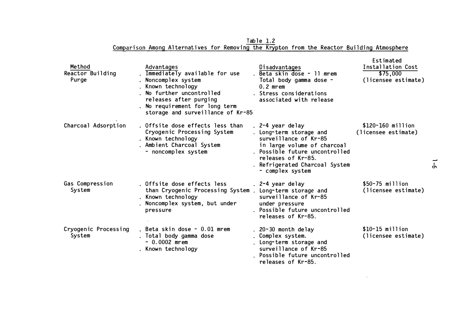Method Reactor Building Purge Charcoal Adsorption Gas Compression System Cryogenic Processing System Advantages Immediate ly available for use Noncomplex system . Known technology . No further uncontrolled re leases after purging . No requirement for long term storage and surveillance of Kr-85 Offsite dose effects less than Cryogenic Proces sing System . Known technology Ambient Charcoal System - noncomp lex system Offsite dose effects less than Cryogenic Processing System Long-term storage and . Known technology Noncomp lex system, but under pressure . Beta skin dose  $-0.01$  mrem Total body gamma dose - 0.0002 mrem . Known technology Disadvantages . Beta skin dose - 11 mrem Total body gamma dose - 0.2 mrem . Stress considerations as sociated with re lease  $. 2 - 4$  year delay Long-term storage and surveillance of Kr-85 in large volume of charcoal . Possible future uncontrolled re leases of Kr-85. . Refrigerated Charcoal System - complex system 2-4 year delay surveillance of Kr-85 under pressure . Possible future uncontrolled re leases of Kr-85 . 20-30 month de lay Complex system. Long-term storage and surveil lance of Kr-85 Possible future uncontrol led re leases of Kr-85. Estimated Installation Cost \$75 , 000 ( licensee estimate ) \$120-160 mi 11 ion ( licensee estimate) \$50-75 mi 11 ion ( licensee estimate ) \$10-15 million ( licensee estimate )

Table 1.2 Comparison Among Alternatives for Removing the Krypton from the Reactor Building Atmosphere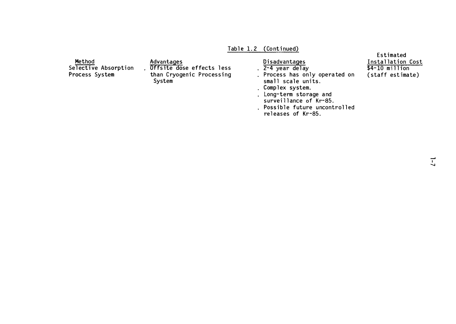## Table 1.2 (Continued)

|                                                  |                                                                                |                                                                                                                                                                                                                             | Estimated                                                |
|--------------------------------------------------|--------------------------------------------------------------------------------|-----------------------------------------------------------------------------------------------------------------------------------------------------------------------------------------------------------------------------|----------------------------------------------------------|
| Method<br>Selective Absorption<br>Process System | Advantages<br>Offsite dose effects less<br>than Cryogenic Processing<br>System | Disadvantages<br>. 2-4 year delay<br>. Process has only operated on<br>small scale units.<br>. Complex system.<br>. Long-term storage and<br>surveillance of Kr-85.<br>. Possible future uncontrolled<br>releases of Kr-85. | Installation Cost<br>$$4-10$ million<br>(staff estimate) |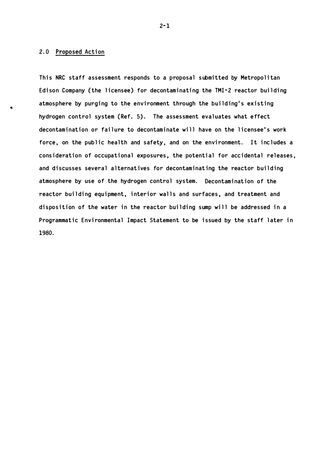#### 2.0 Proposed Action

This NRC staff assessment responds to a proposal submitted by Metropolitan Edison Company (the licensee) for decontaminating the TMI-2 reactor building atmosphere by purging to the environment through the building's existing hydrogen control system (Ref. 5). The assessment evaluates what effect decontamination or failure to decontaminate will have on the licensee's work force, on the public health and safety, and on the environment. It includes a consideration of occupational exposures, the potential for accidental releases, and discusses several alternatives for decontaminating the reactor building atmosphere by use of the hydrogen control system. Decontamination of the reactor building equipment, interior walls and surfaces, and treatment and disposition of the water in the reactor building sump will be addressed in a Programmatic Environmental Impact Statement to be issued by the staff later in 1980.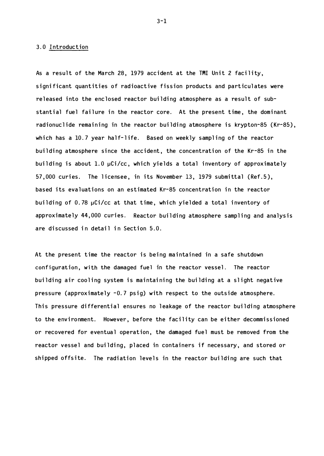#### 3. 0 Introduction

As a result of the March 28, 1979 accident at the TMI Unit 2 facility, significant quantities of radioactive fission products and particulates were released into the enclosed reactor building atmosphere as a result of substantial fuel failure in the reactor core. At the present time, the dominant radionuclide remaining in the reactor building atmosphere is krypton-85 ( $Kr-85$ ), which has a  $10.7$  year half-life. Based on weekly sampling of the reactor building atmosphere since the accident, the concentration of the Kr-85 in the building is about 1.0 µCi/cc, which yields a total inventory of approximately  $57,000$  curies. The licensee, in its November 13, 1979 submittal (Ref.5), based its evaluations on an estimated Kr-85 concentration in the reactor building of 0.78 µCi/cc at that time, which yielded a total inventory of approximately 44,000 curies. Reactor building atmosphere sampling and analysis are discussed in detail in Section 5.0.

At the present time the reactor is being maintained in a safe shutdown configuration, with the damaged fuel in the reactor vessel. The reactor building air cooling system is maintaining the building at a slight negative pressure (approximately  $-0.7$  psig) with respect to the outside atmosphere. This pressure differential ensures no leakage of the reactor building atmosphere to the environment. However, before the facility can be either decommissioned or recovered for eventual operation, the damaged fuel must be removed from the reactor vessel and building, placed in containers if necessary, and stored or shipped offsite. The radiation levels in the reactor building are such that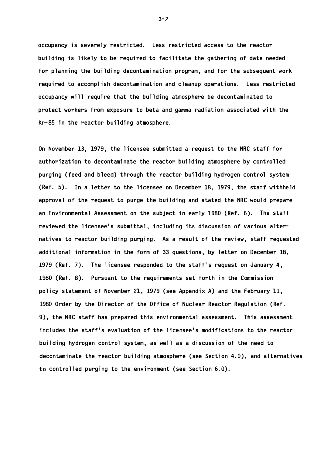occupancy is severely restricted. Less restricted access to the reactor building is likely to be required to facilitate the gathering of data needed for planning the building decontamination program, and for the subsequent work required to accomplish decontamination and cleanup operations. Less restricted occupancy will require that the building atmosphere be decontaminated to protect workers from exposure to beta and gamma radiation associated with the  $Kr-85$  in the reactor building atmosphere.

On November 13, 1979, the licensee submitted a request to the NRC staff for authorization to decontaminate the reactor building atmosphere by controlled purging (feed and bleed) through the reactor building hydrogen control system (Ref. 5). In a letter to the licensee on December 18, 1979, the starf withheld approval of the request to purge the building and stated the NRC would prepare an Environmental Assessment on the subject in early 1980 (Ref. 6). The staff reviewed the licensee's submittal, including its discussion of various alternatives to reactor building purging. As a result of the review, staff requested additional information in the form of 33 questions, by letter on December  $18$ , 1979 (Ref. 7). The licensee responded to the staff's request on January 4, 1980 (Ref. 8). Pursuant to the requirements set forth in the Commission policy statement of November 21, 1979 (see Appendix A) and the February 11, 1980 Order by the Director of the Office of Nuclear Reactor Regulation (Ref. 9), the NRC staff has prepared this environmental assessment. This assessment includes the staff's evaluation of the licensee's modifications to the reactor building hydrogen control system, as well as a discussion of the need to decontaminate the reactor building atmosphere (see Section 4.0), and alternatives to controlled purging to the environment (see Section  $6.0$ ).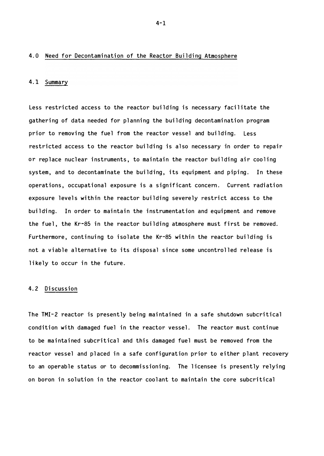#### 4.0 Need for Decontamination of the Reactor Building Atmosphere

#### 4.1 Summary

Less restricted access to the reactor building is necessary facilitate the gathering of data needed for planning the building decontamination program prior to removing the fuel from the reactor vessel and building. Less restricted access to the reactor building is also necessary in order to repair or replace nuclear instruments, to maintain the reactor building air cooling system, and to decontaminate the building, its equipment and piping. In these operations, occupational exposure is a significant concern. Current radiation exposure levels within the reactor building severely restrict access to the building. In order to maintain the instrumentation and equipment and remove the fuel, the Kr-85 in the reactor building atmosphere must first be removed. Furthermore, continuing to isolate the Kr-85 within the reactor building is not a viable alternative to its disposal since some uncontrolled release is likely to occur in the future.

#### 4.2 Discussion

The TMI-2 reactor is presently being maintained in a safe shutdown subcritical condition with damaged fuel in the reactor vessel. The reactor must continue to be maintained subcritical and this damaged fuel must be removed from the reactor vessel and placed in a safe configuration prior to either plant recovery to an operable status or to decommissioning. The licensee is presently relying on boron in solution in the reactor coolant to maintain the core subcritical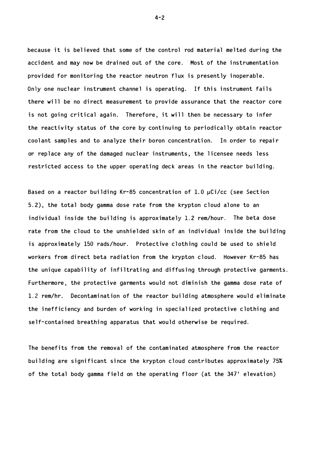because it is believed that some of the control rod material melted during the accident and may now be drained out of the core. Most of the instrumentation provided for monitoring the reactor neutron flux is presently inoperable. Only one nuclear instrument channel is operating. If this instrument fails there will be no direct measurement to provide assurance that the reactor core is not going critical again. Therefore, it will then be necessary to infer the reactivity status of the core by continuing to periodically obtain reactor coolant samples and to analyze their boron concentration. In order to repair or replace any of the damaged nuclear instruments, the licensee needs less restricted access to the upper operating deck areas in the reactor building.

Based on a reactor building Kr-85 concentration of 1.0  $\mu$ Ci/cc (see Section 5.2), the total body gamma dose rate from the krypton cloud alone to an individual inside the building is approximately  $1.2$  rem/hour. The beta dose rate from the cloud to the unshielded skin of an individual inside the building is approximately 150 rads/hour. Protective clothing could be used to shield workers from direct beta radiation from the krypton cloud. However Kr-85 has the unique capability of infiltrating and diffusing through protective garments. Furthermore, the protective garments would not diminish the gamma dose rate of 1.2 rem/hr. Decontamination of the reactor building atmosphere would eliminate the inefficiency and burden of working in specialized protective clothing and self-contained breathing apparatus that would otherwise be required.

The benefits from the removal of the contaminated atmosphere from the reactor building are significant since the krypton cloud contributes approximately 75% of the total body gamma field on the operating floor (at the 347' elevation)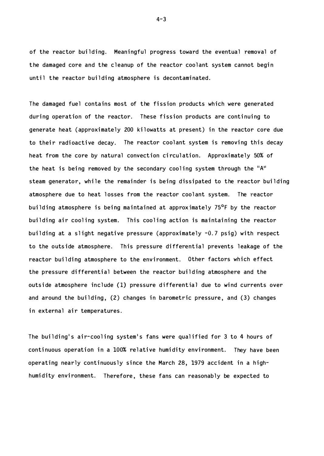of the reactor building. Meaningful progress toward the eventual removal of the damaged core and the cleanup of the reactor coolant system cannot begin until the reactor building atmosphere is decontaminated.

The damaged fuel contains most of the fission products which were generated during operation of the reactor. These fission products are continuing to generate heat (approximately 200 kilowatts at present) in the reactor core due to their radioactive decay. The reactor coolant system is removing this decay heat from the core by natural convection circulation. Approximately 50% of the heat is being removed by the secondary cooling system through the  $\mathsf{H}^{\mathsf{H}}$ steam generator, while the remainder is being dissipated to the reactor building atmosphere due to heat losses from the reactor coolant system. The reactor building atmosphere is being maintained at approximately  $75^{\circ}$ F by the reactor building air cooling system. This cooling action is maintaining the reactor building at a slight negative pressure (approximately  $-0.7$  psig) with respect to the outside atmosphere. This pressure differential prevents leakage of the reactor building atmosphere to the environment. Other factors which effect the pressure differential between the reactor building atmosphere and the outside atmosphere include (1) pressure differential due to wind currents over and around the building,  $(2)$  changes in barometric pressure, and  $(3)$  changes in external air temperatures.

The building's air-cooling system's fans were qualified for 3 to 4 hours of continuous operation in a 100% relative humidity environment. They have been operating nearly continuously since the March 28, 1979 accident in a highhumidity environment. Therefore, these fans can reasonably be expected to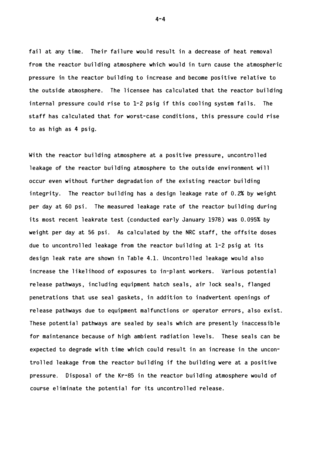fail at any time. Their failure would result in a decrease of heat removal from the reactor building atmosphere which would in turn cause the atmospheric pressure in the reactor building to increase and become positive relative to the outside atmosphere. The licensee has calculated that the reactor building internal pressure could rise to  $1-2$  psig if this cooling system fails. The staff has calculated that for worst-case conditions, this pressure could rise to as high as  $4$  psig.

With the reactor building atmosphere at a positive pressure, uncontrolled leakage of the reactor building atmosphere to the outside environment will occur even without further degradation of the existing reactor building integrity. The reactor building has a design leakage rate of  $0.2\%$  by weight per day at 60 psi. The measured leakage rate of the reactor building during its most recent leakrate test (conducted early January 1978) was 0.095% by weight per day at 56 psi. As calculated by the NRC staff, the offsite doses due to uncontrolled leakage from the reactor building at  $1-2$  psig at its design leak rate are shown in Table 4.1. Uncontrolled leakage would also increase the likelihood of exposures to in-plant workers. Various potential re lease pathways, including equipment hatch seals, air lock seals, flanged penetrations that use seal gaskets, in addition to inadvertent openings of release pathways due to equipment malfunctions or operator errors, also exist. These potential pathways are sealed by seals which are presently inaccessible for maintenance because of high ambient radiation levels. These seals can be expected to degrade with time which could result in an increase in the uncontrolled leakage from the reactor building if the building were at a positive pressure. Disposal of the Kr-85 in the reactor building atmosphere would of course eliminate the potential for its uncontrolled release.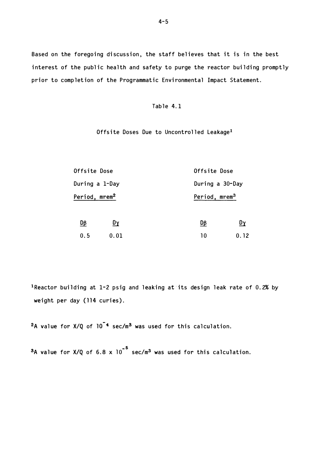Based on the foregoing discussion, the staff believes that it is in the best interest of the public health and safety to purge the reactor building promptly prior to completion of the Programmatic Environmental Impact Statement.

#### Table 4.1

Offsite Doses Due to Uncontrolled Leakage<sup>1</sup>

| <b>Offsite Dose</b>       |      |    | Offsite Dose              |  |
|---------------------------|------|----|---------------------------|--|
| During a 1-Day            |      |    | During a 30-Day           |  |
| Period, mrem <sup>2</sup> |      |    | Period, mrem <sup>3</sup> |  |
| 匝                         | Dγ   | Dβ | Dγ                        |  |
| 0.5                       | 0.01 | 10 | 0.12                      |  |

1Reactor building at 1-2 psig and leaking at its design leak rate of 0.2% by weight per day (114 curies).

 $2A$  value for  $X/Q$  of  $10^{-4}$  sec/m<sup>3</sup> was used for this calculation.

 $3A$  value for X/Q of 6.8 x  $10^{-5}$  sec/m<sup>3</sup> was used for this calculation.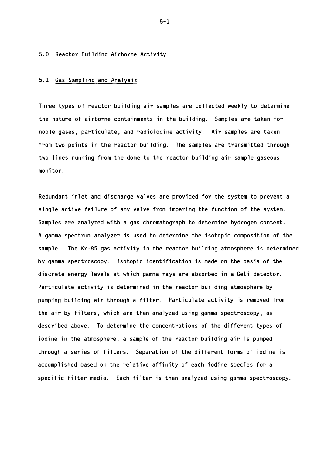#### 5.0 Reactor Building Airborne Activity

#### 5.1 Gas Sampling and Analysis

Three types of reactor building air samples are collected weekly to determine the nature of airborne containments in the building. Samples are taken for noble gases, particulate, and radioiodine activity. Air samples are taken from two points in the reactor building. The samples are transmitted through two lines running from the dome to the reactor building air sample gaseous moni tor.

Redundant inlet and discharge valves are provided for the system to prevent a single-active failure of any valve from imparing the function of the system. Samples are analyzed with a gas chromatograph to determine hydrogen content. A gamma spectrum analyzer is used to determine the isotopic composition of the sample. The Kr-85 gas activity in the reactor building atmosphere is determined by gamma spectroscopy. Isotopic identification is made on the basis of the discrete energy levels at which gamma rays are absorbed in a GeLi detector. Particulate activity is determined in the reactor building atmosphere by pumping building air through a filter. Particulate activity is removed from the air by filters, which are then analyzed using gamma spectroscopy, as described above. To determine the concentrations of the different types of iodine in the atmosphere, a sample of the reactor building air is pumped through a series of filters. Separation of the different forms of iodine is accomplished based on the relative affinity of each iodine species for a specific filter media. Each filter is then analyzed using gamma spectroscopy.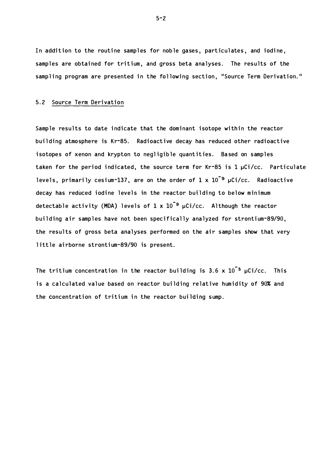In addition to the routine samples for noble gases, particulates, and iodine, samples are obtained for tritium, and gross beta analyses. The results of the sampling program are presented in the following section, "Source Term Derivation."

#### 5.2 Source Term Derivation

Sample results to date indicate that the dominant isotope within the reactor building atmosphere is Kr-85. Radioactive decay has reduced other radioactive isotopes of xenon and krypton to negligible quantities. Based on samples taken for the period indicated, the source term for Kr-85 is 1  $\mu$ Ci/cc. Particulate levels, primarily cesium-137, are on the order of  $1$  x  $10$   $^{\texttt{o}}$   $\mu$ Ci/cc.  $\,$  Radioactive decay has reduced iodine levels in the reactor building to below minimum detectable activity (MDA) levels of  $1\,$  x  $10^{-9}$   $\mu$ Ci/cc.  $\,$  Although the reactor building air samples have not been specifically analyzed for strontium-89/90, the results of gross beta analyses performed on the air samples show that very little airborne strontium-89/90 is present.

The tritium concentration in the reactor building is 3.6  $\times$   $10^{-5}$   $\mu$ Ci/cc. This is a calculated value based on reactor building relative humidity of 90% and the concentration of tritium in the reactor building sump.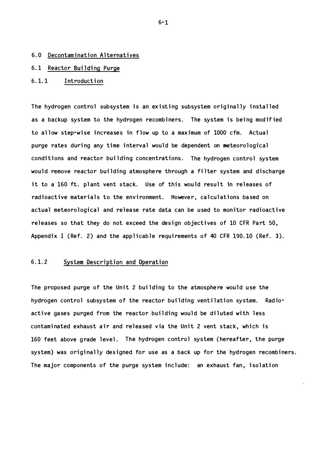#### 6.0 Decontamination Al ternatives

#### 6.1 Reactor Building Purge

#### 6.1.1 Introduction

The hydrogen control subsystem is an existing subsystem originally installed as a backup system to the hydrogen recombiners. The system is being modified to allow step-wise increases in flow up to a maximum of 1000 cfm. Actual purge rates during any time interval would be dependent on meteorological conditions and reactor building concentrations. The hydrogen control system would remove reactor building atmosphere through a filter system and discharge it to a 160 ft. plant vent stack. Use of this would result in releases of radioactive materials to the environment. However, calculations based on actual meteorological and release rate data can be used to monitor radioactive releases so that they do not exceed the design objectives of 10 CFR Part 50, Appendix I (Ref. 2) and the applicable requirements of 40 CFR 190.10 (Ref. 3).

#### 6.1.2 System Description and Operation

The proposed purge of the Unit 2 building to the atmosphere would use the hydrogen control subsystem of the reactor building ventilation system. Radioactive gases purged from the reactor building would be diluted with less contaminated exhaust air and released via the Unit 2 vent stack, which is 160 feet above grade level. The hydrogen control system (hereafter, the purge system) was originally designed for use as a back up for the hydrogen recombiners. The major components of the purge system include: an exhaust fan, isolation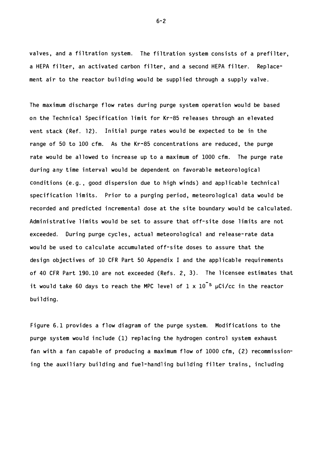valves, and a filtration system. The filtration system consists of a prefilter, a HEPA filter, an activated carbon filter, and a second HEPA filter. Replacement air to the reactor building would be supplied through a supply valve.

The maximum discharge flow rates during purge system operation would be based on the Technical Specification limit for Kr-85 releases through an elevated vent stack (Ref. 12). Initial purge rates would be expected to be in the range of 50 to 100 cfm. As the Kr-85 concentrations are reduced, the purge rate would be allowed to increase up to a maximum of 1000 cfm. The purge rate during any time interval would be dependent on favorable meteorological conditions (e.g., good dispersion due to high winds) and applicable technical specification limits. Prior to a purging period, meteorological data would be recorded and predicted incremental dose at the site boundary would be calculated. Administrative limits would be set to assure that off-site dose limits are not exceeded. During purge cycles, actual meteorological and release-rate data would be used to calculate accumulated off-site doses to assure that the design objectives of 10 CFR Part 50 Appendix I and the applicable requirements of 40 CFR Part 190.10 are not exceeded (Refs. 2, 3). The licensee estimates that it would take 60 days to reach the MPC level of  $1 \times 10^{-5}$  µCi/cc in the reactor building.

Figure 6.1 provides a flow diagram of the purge system. Modifications to the purge system would include (1) replacing the hydrogen control system exhaust fan with a fan capable of producing a maximum flow of 1000 cfm, (2) recommissioning the auxiliary building and fuel-handling building filter trains, including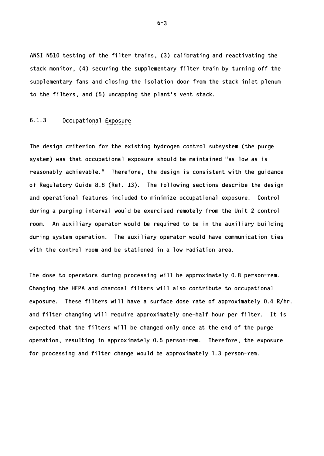ANSI N510 testing of the filter trains, (3) calibrating and reactivating the stack monitor, (4) securing the supplementary filter train by turning off the supp lementary fans and closing the isolation door from the stack inlet plenum to the filters, and (5) uncapping the plant's vent stack.

#### 6.1.3 Occupational Exposure

The design criterion for the existing hydrogen control subsystem (the purge system) was that occupational exposure should be maintained "as low as is reasonably achievable." Therefore, the design is consistent with the guidance of Regulatory Guide 8.8 (Ref. 13). The following sections describe the design and operational features included to minimize occupational exposure. Control during a purging interval would be exercised remotely from the Unit 2 control room. An auxiliary operator would be required to be in the auxiliary building during system operation. The auxiliary operator would have communication ties with the control room and be stationed in a low radiation area.

The dose to operators during processing will be approximately 0.8 person-rem. Changing the HEPA and charcoal filters will also contribute to occupational exposure. These filters will have a surface dose rate of approximately 0.4 R/hr. and filter changing will require approximately one-half hour per filter. It is expected that the filters will be changed only once at the end of the purge operation, resulting in approximately  $0.5$  person-rem. Therefore, the exposure for processing and filter change would be approximately 1.3 person-rem.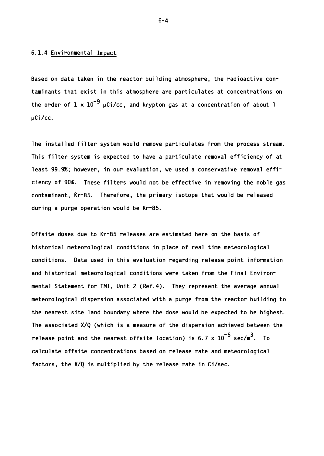#### 6.1.4 Envi ronmental Impact

Based on data taken in the reactor building atmosphere, the radioactive contaminants that exist in this atmosphere are particulates at concentrations on the order of  $1 \times 10^{-9}$   $\mu$ Ci/cc, and krypton gas at a concentration of about 1 uCi/cc.

The installed filter system would remove particulates from the process stream. This filter system is expected to have a particulate removal efficiency of at least 99.9%; however, in our evaluation, we used a conservative removal efficiency of 90%. These filters would not be effective in removing the noble gas contaminant, Kr-85. Therefore, the primary isotope that would be released during a purge operation would be Kr-85.

Offsite doses due to Kr-85 releases are estimated here on the basis of historical meteorological conditions in place of real time meteorological conditions. Data used in this evaluation regarding release point information and historical meteorological conditions were taken from the Final Environmental Statement for TMI, Unit 2 (Ref.4). They represent the average annual meteorological dispersion associated with a purge from the reactor building to the nearest site land boundary where the dose would be expected to be highest. The associated  $X/Q$  (which is a measure of the dispersion achieved between the release point and the nearest offsite location) is 6.7 x  $10^{-6}$  sec/m $^3. \;$  To cal culate offsite concentrations based on release rate and meteorological factors, the  $X/Q$  is multiplied by the release rate in Ci/sec.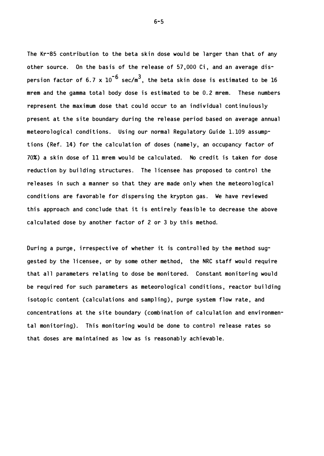The Kr-85 contribution to the beta skin dose would be larger than that of any other source. On the basis of the release of 57,000 Ci, and an average dispersion factor of 6.7 x  $10^{-6}$  sec/m $^3$ , the beta skin dose is estimated to be 16 mrem and the gamma total body dose is estimated to be 0.2 mrem. These numbers represent the maximum dose that could occur to an individual continuiously present at the site boundary during the release period based on average annual meteoro logical conditions. Using our normal Regulatory Guide 1.109 assumptions (Ref. 14) for the calculation of doses (namely, an occupancy factor of 70%) a skin dose of 11 mrem would be calculated. No credit is taken for dose reduction by building structures. The licensee has proposed to control the re leases in such a manner so that they are made only when the meteorological conditions are favorable for dispersing the krypton gas. We have reviewed this approach and conclude that it is entirely feasible to decrease the above calculated dose by another factor of 2 or 3 by this method.

During a purge, irrespective of whether it is controlled by the method suggested by the licensee, or by some other method, the NRC staff would require that all parameters relating to dose be monitored. Constant monitoring would be required for such parameters as meteorological conditions, reactor building isotopic content (calculations and sampling), purge system flow rate, and concentrations at the site boundary (combination of calculation and environmental monitoring). This monitoring would be done to control release rates so that doses are maintained as low as is reasonably achievable.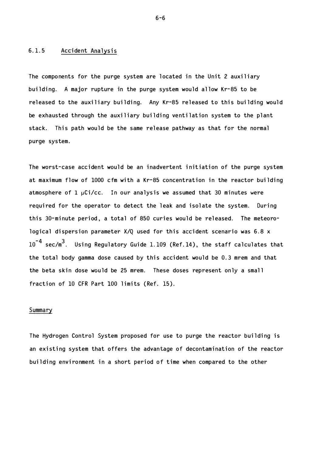#### 6.1.5 Acci dent Analys is

The components for the purge system are located in the Unit 2 auxiliary building. A major rupture in the purge system would allow Kr-85 to be released to the auxiliary building. Any Kr-85 released to this building would be exhausted through the auxiliary building ventilation system to the plant stack. This path would be the same release pathway as that for the normal purge system.

The worst-case accident would be an inadvertent initiation of the purge system at maximum flow of 1000 cfm with a Kr-85 concentration in the reactor building atmosphere of  $1 \mu Ci/cc$ . In our analysis we assumed that 30 minutes were required for the operator to detect the leak and isolate the system. During this 30-minute period, a total of 850 curies would be released. The meteorological dispersion parameter  $X/Q$  used for this accident scenario was 6.8  $x$  $10^{-4}$  sec/m $^3$ . Using Regulatory Guide 1.109 (Ref.14), the staff calculates that the total body gamma dose caused by this accident would be 0.3 mrem and that the beta skin dose would be 25 mrem. These doses represent only a small fraction of  $10$  CFR Part  $100$  limits (Ref. 15).

#### Summary

The Hydrogen Control System proposed for use to purge the reactor building is an existing system that offers the advantage of decontamination of the reactor building environment in a short period of time when compared to the other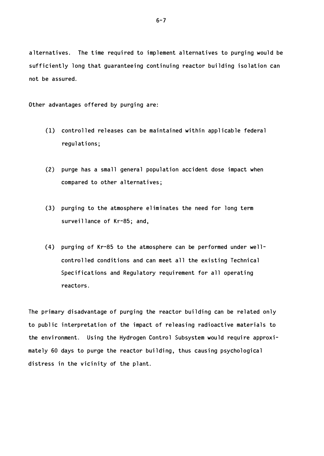alternatives. The time required to implement alternatives to purging would be sufficiently long that guaranteeing continuing reactor building isolation can not be assured.

Other advantages offered by purging are:

- $(1)$  controlled releases can be maintained within applicable federal regulations;
- (2) purge has a small general population accident dose impact when compared to other alternatives;
- (3) purging to the atmosphere eliminates the need for long term surveillance of Kr-85; and,
- (4) purging of Kr-85 to the atmosphere can be performed under wellcontrolled conditions and can meet all the existing Technical Specifications and Regulatory requirement for all operating reactors.

The primary disadvantage of purging the reactor building can be related only to public interpretation of the impact of releasing radioactive materials to the environment. Using the Hydrogen Control Subsystem would require approximately 60 days to purge the reactor building, thus causing psychological distress in the vicinity of the plant.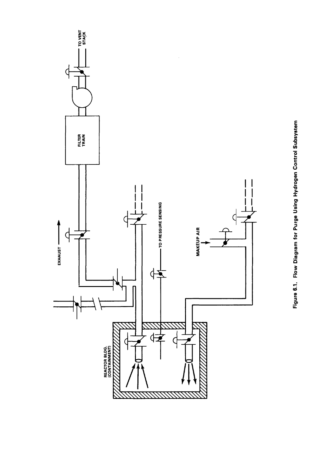

Figure 6.1. Flow Diagram for Purge Using Hydrogen Control Subsystem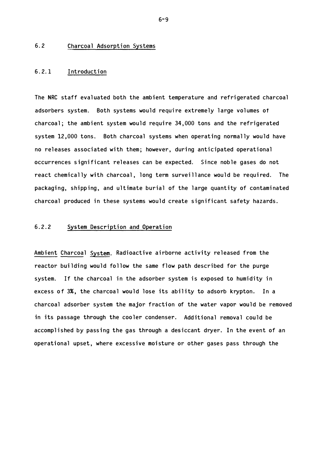#### 6.2 Charcoal Adsorption Systems

#### 6.2.1 Introduction

The NRC staff evaluated both the ambient temperature and refrigerated charcoal adsorbers system. Both systems would require extremely large volumes of  $charcoal$ ; the ambient system would require  $34,000$  tons and the refrigerated system 12,000 tons. Both charcoal systems when operating normally would have no releases associated with them; however, during anticipated operational occurrences significant releases can be expected. Since noble gases do not react chemically with charcoal, long term surveillance would be required. The packaging, shipping, and ultimate burial of the large quantity of contaminated charcoal produced in these systems would create significant safety hazards.

#### 6.2.2 System Description and Operation

Ambient Charcoal System. Radioactive airborne activity released from the reactor building would follow the same flow path described for the purge system. If the charcoal in the adsorber system is exposed to humidity in excess of 3%, the charcoal would lose its ability to adsorb krypton. In a charcoal adsorber system the major fraction of the water vapor would be removed in its passage through the cooler condenser. Additional removal could be accomplished by passing the gas through a desiccant dryer. In the event of an operational upset, where excessive moisture or other gases pass through the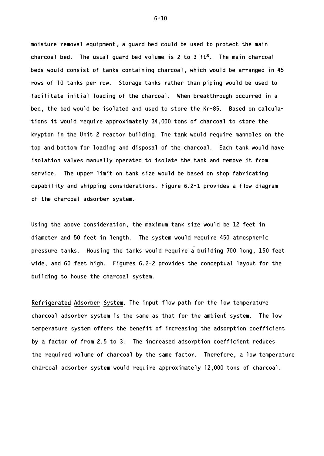moisture removal equipment, a guard bed could be used to protect the main charcoal bed. The usual guard bed volume is 2 to 3  $ft<sup>3</sup>$ . The main charcoal beds would consist of tanks containing charcoal, which would be arranged in 45 rows of 10 tanks per row. Storage tanks rather than piping would be used to facilitate initial loading of the charcoal. When breakthrough occurred in a bed, the bed would be isolated and used to store the Kr-85. Based on calculations it would require approximately 34,000 tons of charcoal to store the krypton in the Unit 2 reactor building. The tank would require manholes on the top and bottom for loading and disposal of the charcoal. Each tank would have isolation valves manually operated to isolate the tank and remove it from service. The upper limit on tank size would be based on shop fabricating capability and shipping considerations. Figure  $6.2$ -1 provides a flow diagram of the c harcoal adsorber system.

Using the above consideration, the maximum tank size would be 12 feet in diameter and 50 feet in length. The system would require 450 atmospheric pressure tanks. Housing the tanks would require a building 700 long, 150 feet wide, and 60 feet high. Figures 6.2-2 provides the conceptual layout for the building to house the charcoal system.

Refrigerated Adsorber System. The input flow path for the low temperature charcoal adsorber system is the same as that for the ambient system. The low temperature system offers the benefit of increasing the adsorption coefficient by a factor of from 2.5 to 3. The increased adsorption coefficient reduces the required volume of charcoal by the same factor. Therefore, a low temperature charcoal adsorber system would require approximately 12,000 tons of charcoal.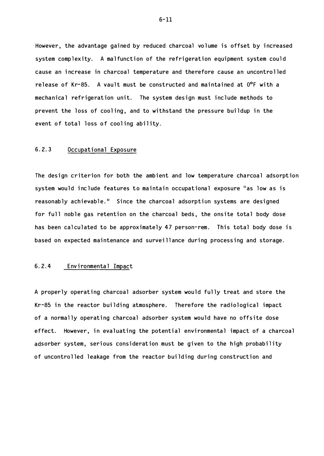However, the advantage gained by reduced charcoal volume is offset by increased system complexity. A malfunction of the refrigeration equipment system could cause an i ncrease in charcoal temperature and therefore cause an uncontrolled release of Kr-85. A vault must be constructed and maintained at  $0^{\circ}F$  with a mechanical refrigeration unit. The system design must include methods to prevent the loss of cooling, and to withstand the pressure buildup in the event of total loss of cooling ability.

### 6.2.3 Occupational Exposure

The design criterion for both the ambient and low temperature charcoal adsorption system would include features to maintain occupational exposure "as low as is reasonably achievable." Since the charcoal adsorption systems are designed for full noble gas retention on the charcoal beds, the onsite total body dose has been calculated to be approximately 47 person-rem. This total body dose is based on expected maintenance and surveillance during processing and storage.

### 6.2.4 Environmental Impact

A properly operating charcoal adsorber system would fully treat and store the Kr-85 in the reactor building atmosphere. Therefore the radiological impact of a normally operating charcoal adsorber system would have no offsite dose effect. However, in evaluating the potential environmental impact of a charcoal adsorber system, serious consideration must be given to the high probability of uncontrolled leakage from the reactor building during construction and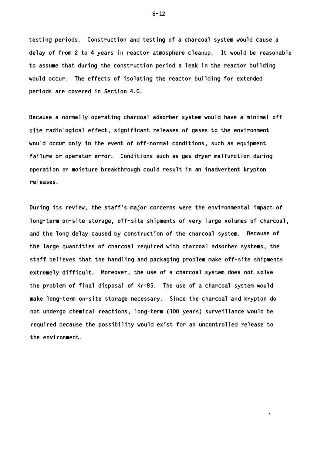testing periods. Construction and testing of a charcoal system would cause a delay of from 2 to 4 years in reactor atmosphere cleanup. It would be reasonable to assume that during the construction period a leak in the reactor building would occur. The effects of isolating the reactor building for extended periods are covered in Section 4.0.

Because a normally operating charcoal adsorber system would have a minimal off site radiological effect, significant releases of gases to the environment would occur only in the event of off-normal conditions, such as equipment failure or operator error. Conditions such as gas dryer malfunction-during operation or moisture breakthrough could result in an inadvertent krypton rel eases.

During its review, the staff's major concerns were the environmental impact of long-term on-site storage, off-site shipments of very large volumes of charcoal, and the long delay caused by construction of the charcoal system. Because of the large quantities of charcoal required with charcoal adsorber systems, the staff believes that the handling and packaging problem make off-site shipments extremely difficult. Moreover, the use of a charcoal system does not solve the problem of final disposal of  $Kr-85$ . The use of a charcoal system would make long-term on-site storage necessary. Since the charcoal and krypton do not undergo chemical reactions, long-term (100 years) surveillance would be required because the possibility would exist for an uncontrolled release to the envi ronment.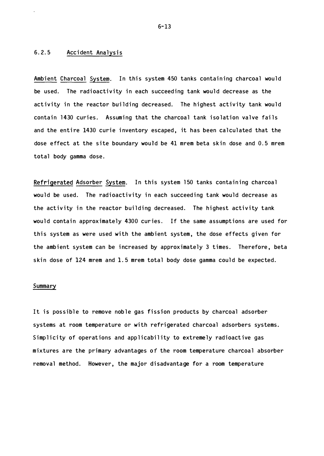# 6.2.5 Accident Analysis

Ambient Charcoal System. In this system 450 tanks containing charcoal would be used. The radioactivity in each succeeding tank would decrease as the activity in the reactor building decreased. The highest activity tank would contain 1430 curies. Assuming that the charcoal tank isolation valve fails and the entire 1430 curie inventory escaped, it has been calculated that the dose effect at the site boundary would be 41 mrem beta skin dose and 0.5 mrem total body gamma dose.

Refrigerated Adsorber System. In this system 150 tanks containing charcoal would be used. The radioactivity in each succeeding tank would decrease as the activity in the reactor building decreased. The highest activity tank would contain approximately 4300 curies. If the same assumptions are used for this system as were used with the ambient system, the dose effects given for the ambient system can be increased by approximately 3 times. Therefore, beta skin dose of 124 mrem and 1.5 mrem total body dose gamma could be expected.

### Summary

It is possible to remove noble gas fission products by charcoal adsorber systems at room temperature or with refrigerated charcoal adsorbers systems. Simplicity of operations and applicability to extremely radioactive gas mixtures are the primary advantages of the room temperature charcoal absorber removal method. However, the major disadvantage for a room temperature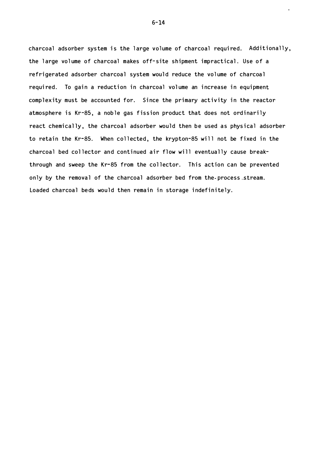charcoal ads orber system is the large volume of charcoal required. Additionally, the large volume of charcoal makes off-site shipment impractical. Use of a refrigerated adsorber charcoal system would reduce the volume of charcoal required. To gain a reduction in charcoal volume an increase in equipment complexity must be accounted for. Since the primary activity in the reactor atmosphere is Kr-85, a noble gas fission product that does not ordinarily react chemically, the charcoal adsorber would then be used as physical adsorber to retain the Kr-85. When collected, the krypton-85 will not be fixed in the charcoal bed collector and continued air flow will eventually cause breakthrough and sweep the Kr-85 from the collector. This action can be prevented only by the removal of the charcoal adsorber bed from the process stream. Loaded charcoal beds would then remain in storage indefinitely.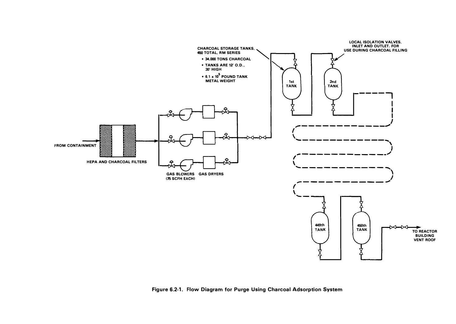

Figure 6.2-1. Flow Diagram for Purge Using Charcoal Adsorption System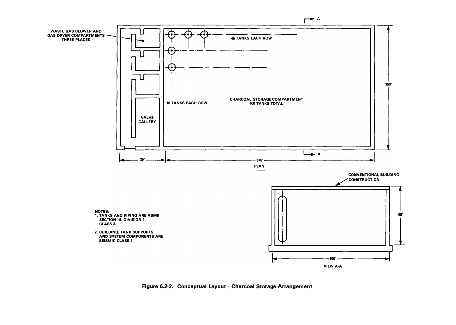

Figure 6.2-2. Conceptual Layout - Charcoal Storage Arrangement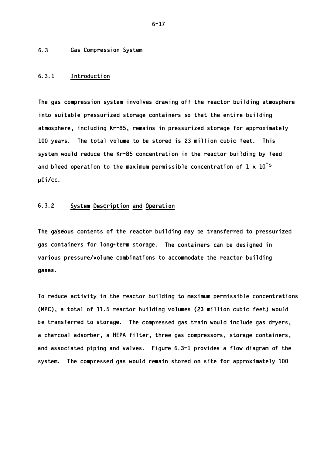6.3 Gas Compression System

### 6.3.1 Introduction

The gas compression system involves drawing off the reactor building atmosphere into suitable pressurized storage containers so that the entire building atmosphere, including Kr-85, remains in pressurized storage for approximately 100 years. The total volume to be stored is 23 million cubic feet. This system would reduce the Kr-85 concentration in the reactor building by feed and bleed operation to the maximum permissible concentration of  $1 \times 10^{-5}$ µCi/cc.

# 6.3.2 System Description and Operation

The gaseous contents of the reactor building may be transferred to pressurized gas containers for long-term storage. The containers can be designed in various pressure/volume combinations to accommodate the reactor building gases.

To reduce activity in the reactor building to maximum permissible concentrations (MPC), a total of 11.5 reactor building volumes (23 million cubic feet) would be transferred to storage. The compressed gas train would include gas dryers, a charcoal adsorber, a HEPA filter, three gas compressors, storage containers, and associated piping and valves. Figure  $6.3-1$  provides a flow diagram of the system. The compressed gas would remain stored on site for approximately 100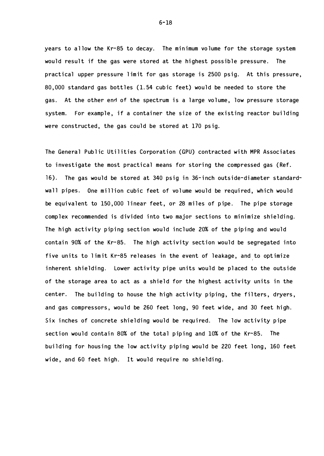years to allow the Kr-85 to decay. The minimum volume for the storage system would result if the gas were stored at the highest possible pressure. The practical upper pressure limit for gas storage is 2500 psig. At this pressure, 80 ,000 standard gas bottles ( 1.54 cubic feet) would be needed to store the gas. At the other end of the spectrum is a large volume, low pressure storage system. For example, if a container the size of the existing reactor building were constructed, the gas could be stored at 170 psig.

The General Public Utilities Corporation ( GPU) contracted with MPR Associates to investigate the most practical means for storing the compressed gas (Ref. 16 ). The gas would be stored at 340 psig in 36-i nch outside-diameter standardwall pipes. One million cubic feet of volume would be required, which would be equivalent to 150,000 linear feet, or 28 miles of pipe. The pipe storage complex recommended is divided into two major sections to minimize shielding. The high activity piping section would include 20% of the piping and would contain 90% of the Kr-85. The high activity section would be segregated into five units to limit Kr-85 releases in the event of leakage, and to optimize inherent shielding. Lower activity pipe units would be placed to the outside of the storage area to act as a shield for the highest activity units in the center. The building to house the high activity piping, the filters, dryers, and gas compressors, would be 260 feet long, 90 feet wide, and 30 feet high. Six inches of concrete shielding would be required. The low activity pipe section would contain 80% of the total piping and 10% of the Kr-85. The building for housing the low activity piping would be 220 feet long, 160 feet wide , and 60 feet high. It would require no shielding.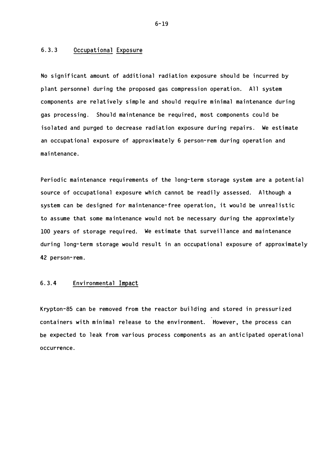### 6.3.3 Occupational Exposure

No significant amount of additional radiation exposure should be incurred by plant personnel during the proposed gas compression operation. All system components are relatively simple and should require minimal maintenance during gas processing. Should maintenance be required, most components could be isolated and purged to decrease radiation exposure during repairs. We estimate an occupational exposure of approximately 6 person-rem during operation and mai ntenance.

Periodic maintenance requirements of the long-term storage system are a potential source of occupational exposure which cannot be readily assessed. Although a system can be designed for maintenance-free operation, it would be unrealistic to assume that some maintenance would not be necessary during the approximtely 100 years of storage required. We estimate that surveillance and maintenance during long-term storage would result in an occupational exposure of approximately 42 person- rem.

# 6.3.4 Environmental Impact

Krypton-85 can be removed from the reactor building and stored in pressurized containers with minimal release to the environment. However, the process can be expected to leak from various process components as an anticipated operational occurrence .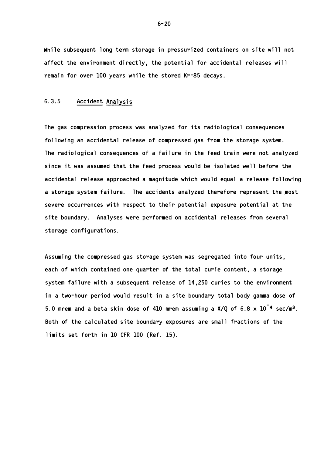While subsequent long term storage in pressurized containers on site will not affect the environment directly, the potential for accidental releases will remain for over 100 years while the stored Kr-85 decays.

# 6.3.5 Accident Analysis

The gas compression process was analyzed for its radiological consequences following an accidental release of compressed gas from the storage system. The radiological consequences of a failure in the feed train were not analyzed since it was assumed that the feed process would be isolated well before the accidental release approached a magnitude which would equal a release following a storage system failure. The accidents analyzed therefore represent the most severe occurrences with respect to their potential exposure potential at the site boundary. Analyses were performed on accidental releases from several storage configurations.

Assuming the compressed gas storage system was segregated into four units, each of which contained one quarter of the total curie content, a storage system failure with a subsequent release of  $14,250$  curies to the environment in a two-hour period would result in a site boundary total body gamma dose of 5.0 mrem and a beta skin dose of 410 mrem assuming a  $X/Q$  of 6.8  $x$  10<sup>-4</sup> sec/m<sup>3</sup>. Both of the calculated site boundary exposures are small fractions of the limits set forth in 10 CFR 100 (Ref. 15).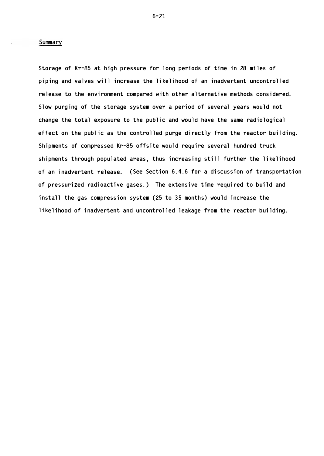### Summary

Storage of Kr-85 at high pressure for long periods of time in 28 miles of piping and valves will increase the likelihood of an inadvertent uncontrolled re lease to the environment compared with other alternative methods considered. Slow purging of the storage system over a period of several years would not change the total exposure to the public and would have the same radiological effect on the public as the controlled purge directly from the reactor building. Shipments of compressed Kr-85 offsite would require several hundred truck shipments through populated areas, thus increasing still further the likelihood of an inadvertent release. (See Section 6.4.6 for a discussion of transportation of pressurized radioactive gases.) The extensive time required to build and install the gas compression system (25 to 35 months) would increase the like lihood of inadvertent and uncontrolled leakage from the reactor building.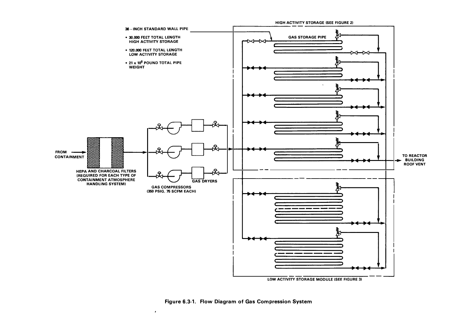

Figure 6.3-1. Flow Diagram of Gas Compression System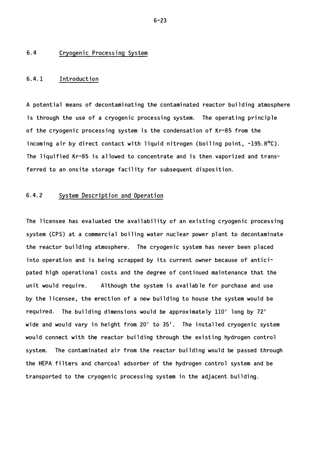### 6.4 Cryogenic Proces sing System

### 6.4.1 Introduction

A potential means of decontaminating the contaminated reactor building atmosphere is through the use of a cryogenic processing system. The operating principle of the cryogenic processing system is the condensation of Kr-85 from the incoming air by direct contact with liquid nitrogen (boiling point,  $-195.8^{\circ}$ C). The liquified Kr-85 is allowed to concentrate and is then vaporized and transferred to an onsite storage facility for subsequent disposition.

# 6.4. 2 Sys tem Description and Operation

The licensee has evaluated the availability of an existing cryogenic processing system (CPS) at a commercial boiling water nuclear power plant to decontaminate the reactor building atmosphere. The cryogenic system has never been placed into operation and is being scrapped by its current owner because of anticipated high operational costs and the degree of continued maintenance that the unit would require. Although the system is available for purchase and use by the licensee, the erection of a new building to house the system would be required. The building dimensions would be approximately  $110'$  long by  $72'$ wide and would vary in height from  $20<sup>1</sup>$  to  $35<sup>1</sup>$ . The installed cryogenic system would connect with the reactor building through the existing hydrogen control system. The contaminated air from the reactor building would be passed through the HEPA filters and charcoal adsorber of the hydrogen control system and be transported to the cryogenic processing system in the adjacent building.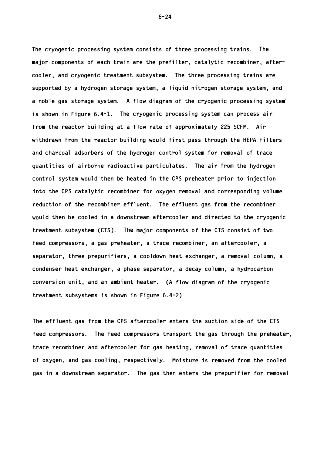The cryogenic processing system consists of three processing trains. The major components of each train are the prefilter, catalytic recombiner, aftercooler, and cryogenic treatment subsystem. The three processing trains are supported by a hydrogen storage system, a liquid nitrogen storage system, and a noble gas storage system. A flow diagram of the cryogenic processing system is shown in Figure  $6.4-1$ . The cryogenic processing system can process air from the reactor building at a flow rate of approximately 225 SCFM. Air withdrawn from the reactor building would first pass through the HEPA filters and charcoal adsorbers of the hydrogen control system for removal of trace quantities of airborne radioactive particulates. The air from the hydrogen control system would then be heated in the CPS preheater prior to injection into the CPS catalytic recombiner for oxygen removal and corresponding volume reduction of the recombiner effluent. The effluent gas from the recombiner would then be cooled in a downstream aftercooler and directed to the cryogenic treatment subsystem ( CTS). The major components of the CTS consist of two feed compressors, a gas preheater, a trace recombiner, an aftercooler, a separator, three prepurifiers, a cooldown heat exchanger, a removal column, a condenser heat exchanger, a phase separator, a decay column, a hydrocarbon conversion unit, and an ambient heater. (A flow diagram of the cryogenic treatment subsystems is shown in Figure 6.4-2)

The effluent gas from the CPS aftercooler enters the suction side of the CTS feed compressors. The feed compressors transport the gas through the preheater, trace recombiner and aftercooler for gas heating, removal of trace quantities of oxygen, and gas cooling, respectively. Moisture is removed from the cooled gas in a downstream separator. The gas then enters the prepurifier for removal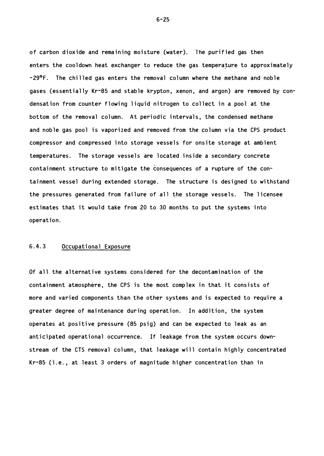of carbon dioxide and remaining moisture (water). The purified gas then enters the cooldown heat exchanger to reduce the gas temperature to approximately  $-29$ °F. The chilled gas enters the removal column where the methane and noble gases (essentially Kr-85 and stable krypton, xenon, and argon) are removed by condensation from counter flowing liquid nitrogen to collect in a pool at the bottom of the removal column. At periodic intervals, the condensed methane and noble gas pool is vaporized and removed from the column via the CPS product compressor and compressed into storage vessels for onsite storage at ambient temperatures. The storage vessels are located inside a secondary concrete containment structure to mitigate the consequences of a rupture of the containment vessel during extended storage. The structure is designed to withstand the pressures generated from failure of all the storage vessels. The licensee estimates that it would take from 20 to 30 months to put the systems into operation.

### 6.4.3 Occupational Exposure

Of all the alternative systems considered for the decontamination of the containment atmosphere, the CPS is the most complex in that it consists of more and varied components than the other systems and is expected to require a greater degree of maintenance during operation. In addition, the system operates at positive pressure (85 psig) and can be expected to leak as an anticipated operational occurrence. If leakage from the system occurs downstream of the CTS removal column, that leakage will contain highly concentrated Kr-85 (i.e., at least 3 orders of magnitude higher concentration than in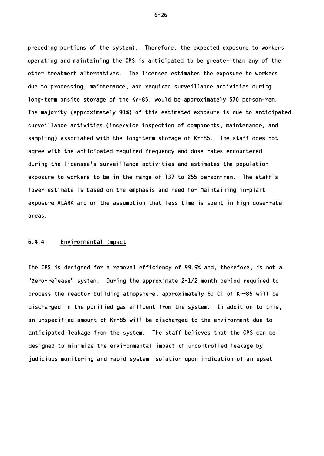preceding portions of the system). Therefore, the expected exposure to workers operating and maintaining the CPS is anticipated to be greater than any of the other treatment alternatives. The licensee estimates the exposure to workers due to processing, maintenance, and required surveillance activities during long-term onsite storage of the Kr-85, would be approximately 570 person-rem. The majority (approximately 90%) of this estimated exposure is due to anticipated surveillance activities (inservice inspection of components, maintenance, and sampling) associated with the long-term storage of Kr-85. The staff does not agree with the anticipated required frequency and dose rates encountered during the licensee's surveillance activities and estimates the population exposure to workers to be in the range of 137 to 255 person-rem. The staff's lower estimate is based on the emphasis and need for maintaining in-plant exposure ALARA and on the assumption that less time is spent in high dose-rate areas .

### 6.4.4 Envi ronmental Impact

The CPS is designed for a removal efficiency of 99 . 9% and, therefore, is not a "Zero-release" system. During the approximate  $2-1/2$  month period required to process the reactor building atmopshere, approximately 60 Ci of Kr-85 will be discharged in the purified gas effluent from the system. In addition to this, an unspecified amount of Kr-85 will be discharged to the environment due to anticipated leakage from the system. The staff believes that the CPS can be designed to minimize the environmental impact of uncontrolled leakage by judicious monitoring and rapid system isolation upon indication of an upset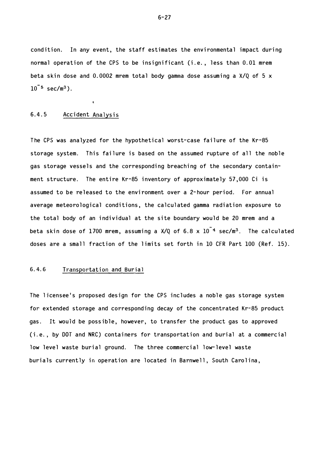condition. In any event, the staff estimates the environmental impact during normal operation of the CPS to be insignificant (i.e., less than 0.01 mrem beta skin dose and 0.0002 mrem total body gamma dose assuming a  $X/Q$  of 5 x  $10^{-5}$  sec/m $^3$ ).

### 6.4.5 Accident Analysis

 $\ddot{\phantom{a}}$ 

The CPS was analyzed for the hypothetical worst-case failure of the Kr-85 storage system. This failure is based on the assumed rupture of all the noble gas storage vessels and the corresponding breaching of the secondary containment structure. The entire Kr-85 inventory of approximately 57 , 000 Ci is assumed to be released to the envi ronment over a 2-hour period. For annual average meteorological conditions, the calculated gamma radiation exposure to the total body of an individual at the site boundary would be 20 mrem and a beta skin dose of  $1700$  mrem, assuming a X/Q of  $6.8$  x  $10^{\texttt{--}4}$  sec/m $^3$ . The calculated doses are a small fraction of the limits set forth in 10 CFR Part 100 (Ref. 15).

# 6. 4. 6 Transportation and Burial

The licensee's proposed design for the CPS includes a noble gas storage system for extended storage and corresponding decay of the concentrated Kr-85 product gas. It would be possible, however, to transfer the product gas to approved (i.e., by DOT and NRC) containers for transportation and burial at a commercial low level waste burial ground. The three commercial low-level waste burials currently in operation are located in Barnwell, South Carolina,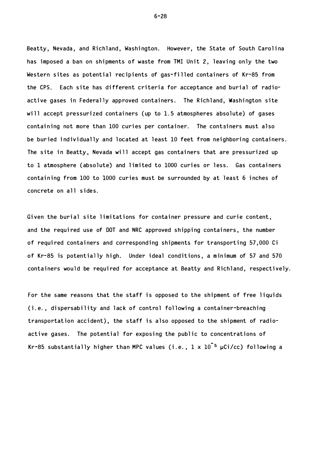Beatty, Nevada, and Richland, Washington. However, the State of South Carolina has imposed a ban on shipments of waste from TMI Unit 2, leaving only the two Western sites as potential recipients of gas-filled containers of Kr-85 from the CPS. Each site has different criteria for acceptance and burial of radioactive gases in Federally approved containers. The Richland, Washington site will accept pressurized containers (up to  $1.5$  atmospheres absolute) of gases containing not more than 100 curies per container. The containers must also be buried individually and located at least 10 feet from neighboring containers. The site in Beatty, Nevada will accept gas containers that are pressurized up to 1 atmosphere (absolute) and limited to 1000 curies or less. Gas containers containing from 100 to 1000 curies must be surrounded by at least 6 inches of concrete on all sides.

Given the burial site limitations for container pressure and curie content, and the required use of DOT and NRC approved shipping containers, the number of required containers and corresponding shipments for transporting 57,000 Ci of Kr-85 is potentially high. Under ideal conditions, a minimum of 57 and 570 containers would be required for acceptance at Beatty and Richland, respectively.

For the same reasons that the staff is opposed to the shipment of free liquids  $(i.e., dispersability and lack of control following a container-breaking$ transportation accident), the staff is also opposed to the shipment of radioactive gases. The potential for exposing the public to concentrations of Kr-85 substantially higher than MPC values (i.e.,  $1 \times 10^{\texttt{-}5}$  µCi/cc) following a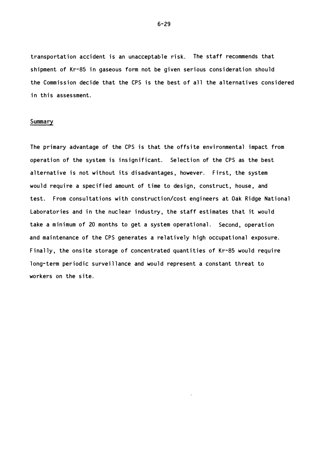transportation accident is an unacceptable risk. The staff recommends that shipment of Kr-85 in gaseous form not be given serious consideration should the Commission decide that the CPS is the best of all the alternatives considered in this assessment.

### Summary

The primary advantage of the CPS is that the offsite environmental impact from operation of the system is insignificant. Selection of the CPS as the best alternative is not without its disadvantages, however. First, the system would require a specified amount of time to design, construct, house, and test. From consultations with construction/cost engineers at Oak Ridge National Laboratories and in the nuclear industry, the staff estimates that it would take a minimum of 20 months to get a system operational. Second, operation and maintenance of the CPS generates a relatively high occupational exposure. Finally, the onsite storage of concentrated quantities of Kr-85 would require long-term periodic surveillance and would represent a constant threat to workers on the site.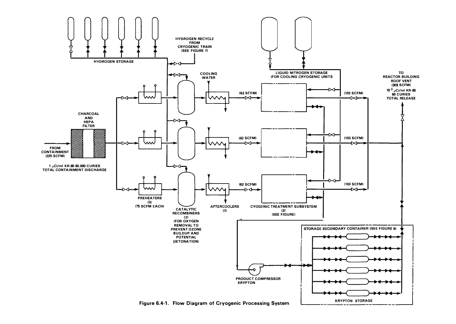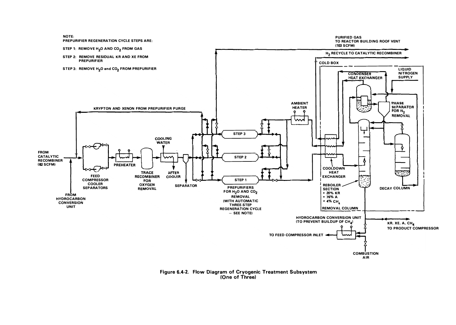

Figure 6.4-2. Flow Diagram of Cryogenic Treatment Subsystem (One of Three)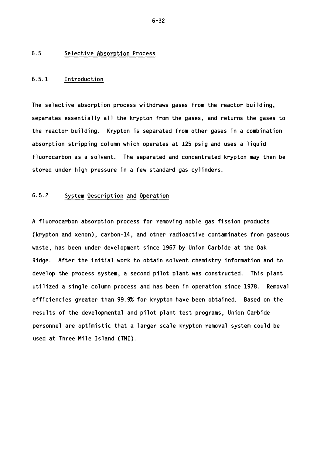### 6.5 Selective Absorption Process

### 6.5.1 Introduction

The selective absorption process withdraws gases from the reactor building, separates essentially all the krypton from the gases, and returns the gases to the reactor building. Krypton is separated from other gases in a combination absorption stripping column which operates at 125 psig and uses a liquid fluorocarbon as a solvent. The separated and concentrated krypton may then be stored under high pressure in a few standard gas cylinders.

# 6.5.2 System Description and Operation

A fluorocarbon absorption process for removing noble gas fission products (krypton and xenon), carbon-14, and other radioactive contaminates from gaseous waste, has been under development since 1967 by Union Carbide at the Oak Ridge. After the initial work to obtain solvent chemistry information and to develop the process system, a second pilot plant was constructed. This plant utilized a single column process and has been in operation since 1978. Removal efficiencies greater than 99.9% for krypton have been obtained. Based on the results of the developmental and pilot plant test programs, Union Carbide personnel are optimistic that a larger scale krypton removal system could be used at Three Mile Island (TMI).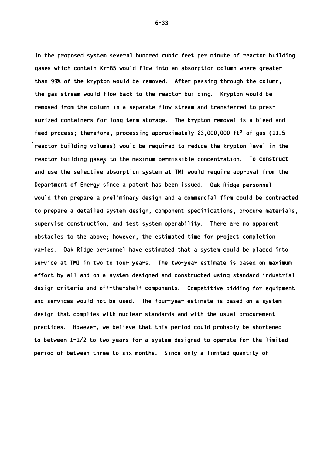In the proposed system several hundred cubic feet per minute of reactor building gases which contain Kr-85 would flow into an absorption column where greater than 99% of the krypton would be removed. After passing through the column, the gas stream would flow back to the reactor building. Krypton would be removed from the column in a separate flow stream and transferred to pressurized containers for long term storage. The krypton removal is a bleed and feed process; therefore, processing approximately  $23,000,000$  ft<sup>3</sup> of gas (11.5 reactor building volumes) would be required to reduce the krypton level in the reactor building gases to the maximum permissible concentration. To construct and use the selective absorption system at TMI would require approval from the Department of Energy since a patent has been issued. Oak Ridge personnel would then prepare a preliminary design and a commercial firm could be contracted to prepare a detailed system design, component specifications, procure materials, supervise construction, and test system operability. There are no apparent obstacles to the above; however, the estimated time for project completion varies. Oak Ridge personnel have estimated that a system could be placed into service at TMI in two to four years. The two-year estimate is based on maximum effort by all and on a system designed and constructed using standard industrial design criteria and off-the-shelf components. Competitive bidding for equipment and services would not be used. The four-year estimate is based on a system design that complies with nuclear standards and with the usual procurement practices. However, we believe that this period could probably be shortened to between 1-1/2 to two years for a system designed to operate for the limited period of between three to six months. Since only a limited quantity of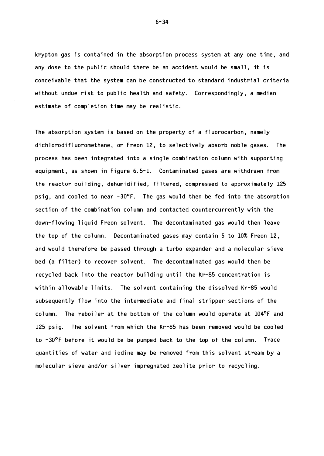krypton gas is contained in the absorption process system at any one time, and any dose to the public should there be an accident would be small, it is conceivable that the system can be constructed to standard industrial criteria without undue risk to public health and safety. Correspondingly, a median estimate of completion time may be realistic.

The absorption system is based on the property of a fluorocarbon, namely dichlorodifluoromethane, or Freon 12, to selectively absorb noble gases. The process has been integrated into a single combination column with supporting equipment, as shown in Figure 6.5-1. Contaminated gases are withdrawn from the reactor building, dehumidified, filtered, compressed to approximately 125 psig, and cooled to near  $-30^{\circ}$ F. The gas would then be fed into the absorption section of the combination column and contacted countercurrently with the down-flowing liquid Freon solvent. The decontaminated gas would then leave the top of the column. Decontaminated gases may contain 5 to  $10\%$  Freon 12, and would therefore be passed through a turbo expander and a molecular sieve bed (a filter) to recover solvent. The decontaminated gas would then be recycled back into the reactor building until the Kr-85 concentration is within allowable limits. The solvent containing the dissolved Kr-85 would subsequently flow into the intermediate and final stripper sections of the column. The reboiler at the bottom of the column would operate at 104°F and 125 psig. The solvent from which the Kr-85 has been removed would be cooled to  $-30^{\circ}$ F before it would be be pumped back to the top of the column. Trace quantities of water and iodine may be removed from this solvent stream by a molecular sieve and/or silver impregnated zeolite prior to recycling.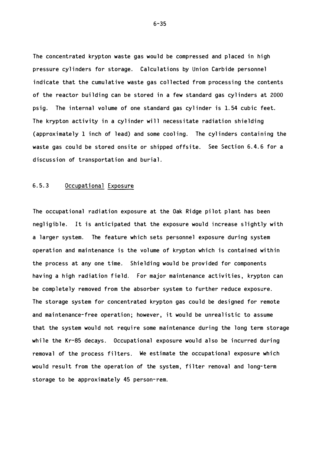The concentrated krypton waste gas would be compressed and placed in high pressure cylinders for storage. Calculations by Union Carbide personnel indicate that the cumulative waste gas collected from processing the contents of the reactor building can be stored in a few standard gas cylinders at 2000 psig. The internal volume of one standard gas cylinder is 1.54 cubic feet. The krypton activity in a cylinder will necessitate radiation shielding (approximately 1 inch of lead) and some cooling. The cylinders containing the waste gas could be stored onsite or shipped offsite. See Section 6.4.6 for a discussion of transportation and burial.

### 6.5.3 Occupational Exposure

The occupational radiation exposure at the Oak Ridge pilot plant has been negligible. It is anticipated that the exposure would increase slightly with a larger system. The feature which sets personnel exposure during system operation and maintenance is the volume of krypton which is contained within the process at any one time. Shielding would be provided for components having a high radiation field. For major maintenance activities, krypton can be completely removed from the absorber system to further reduce exposure. The storage system for concentrated krypton gas could be designed for remote and maintenance-free operation; however, it would be unrealistic to assume that the system would not require some maintenance during the long term storage while the Kr-85 decays. Occupational exposure would also be incurred during removal of the process filters. We estimate the occupational exposure which would result from the operation of the system, filter removal and long-term storage to be approximately 45 person-rem.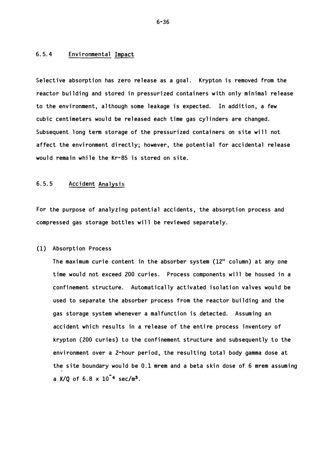# 6.5.4 Environmental Impact

Selective absorption has zero release as a goal. Krypton is removed from the reactor building and stored in pressurized containers with only minimal release to the environment, although some leakage is expected. In addition, a few cubic centimeters would be released each time gas cylinders are changed. Subsequent long term storage of the pressurized containers on site will not affect the environment directly; however, the potential for accidental release would remain while the Kr-85 is stored on site.

# 6.5.5 Accident Analysis

For the purpose of analyzing potential accidents, the absorption process and compressed gas storage bottles will be reviewed separately.

#### (1) Absorption Process

The maximum curie content in the absorber system  $(12<sup>11</sup>$  column) at any one time would not exceed 200 curies. Process components will be housed in a confinement structure. Automatically activated isolation valves would be used to separate the absorber process from the reactor building and the gas storage system whenever a malfunction is detected. Assuming an accident which results in a release of the entire process inventory of krypton (200 curies) to the confinement structure and subsequently to the environment over a 2-hour period, the resulting total body gamma dose at the site boundary would be 0.1 mrem and a beta skin dose of 6 mrem assuming a X/Q of  $6.8 \times 10^{-4}$  sec/m<sup>3</sup>.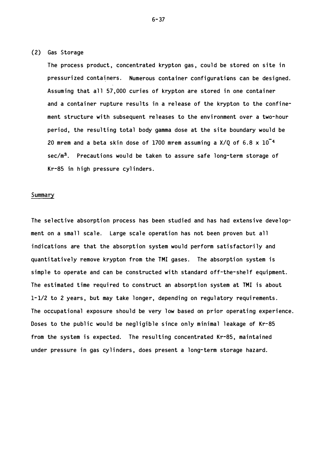### (2) Gas Storage

The process product, concentrated krypton gas, could be stored on site in pressurized containers. Numerous container configurations can be designed. Assuming that all 57,000 curies of krypton are stored in one container and a container rupture results in a release of the krypton to the confinement structure with subsequent releases to the environment over a two-hour period, the resulting total body gamma dose at the site boundary would be 20 mrem and a beta skin dose of 1700 mrem assuming a  $X/Q$  of 6.8  $x$  10<sup>-4</sup>  $sec/m<sup>3</sup>$ . Precautions would be taken to assure safe long-term storage of Kr-85 in high pressure cylinders.

### Summary

The selective absorption process has been studied and has had extensive development on a small scale. Large scale operation has not been proven but all indications are that the absorption system would perform satisfactorily and quantitatively remove krypton from the TMI gases. The absorption system is simple to operate and can be constructed with standard off-the-shelf equipment. The estimated time required to construct an absorption system at TMI is about  $1 - 1/2$  to 2 years, but may take longer, depending on regulatory requirements. The occupational exposure should be very low based on prior operating experience. Doses to the public would be negligible since only minimal leakage of Kr-85 from the system is expected. The resulting concentrated Kr-85, maintained under pressure in gas cylinders, does present a long-term storage hazard.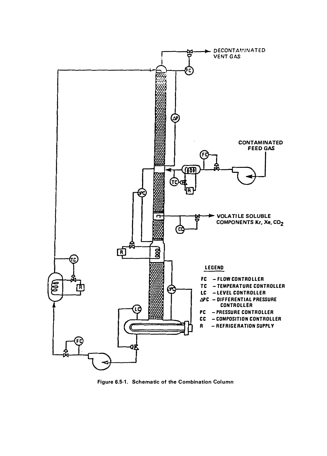

Figure 6.5-1. Schematic of the Combination Column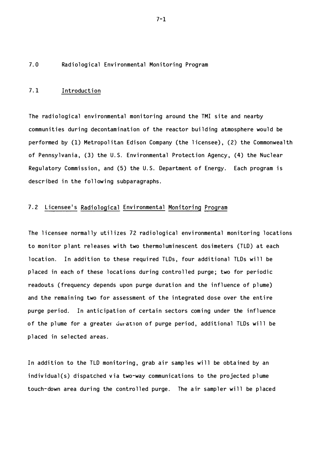### 7 . 0 Radiol ogical Environmental Monitoring Program

### 7.1 Introduction

The radiological environmental monitoring around the TMI site and nearby communities during decontamination of the reactor building atmosphere would be performed by (1) Metropolitan Edison Company (the licensee), (2) the Commonwealth of Pennsylvania, (3) the U.S. Environmental Protection Agency, (4) the Nuclear Regulatory Commission, and (5) the U.S. Department of Energy. Each program is described in the following subparagraphs.

# 7.2 Licensee's Radiological Environmental Monitoring Program

The licensee normally utilizes 72 radiological environmental monitoring locations to monitor plant releases with two thermoluminescent dosimeters (TLD) at each location. In addition to these required TLDs, four additional TLDs will be placed in each of these locations during controlled purge; two for periodic readouts (frequency depends upon purge duration and the influence of plume) and the remaining two for assessment of the integrated dose over the entire purge period. In anticipation of certain sectors coming under the influence of the plume for a greater duration of purge period, additional TLDs will be placed in selected areas.

In addition to the TLD monitoring, grab air samples will be obtained by an individual(s) dispatched via two-way communications to the projected plume touch-down area during the controlled purge. The air sampler will be placed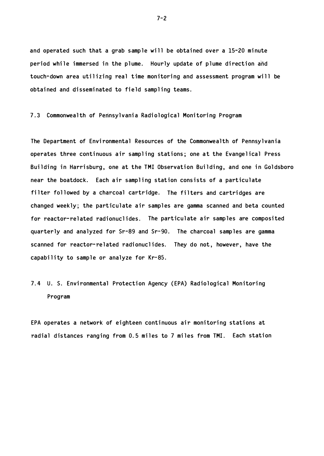and operated such that a grab sample will be obtained over a 15-20 minute period while immersed in the plume. Hourly update of plume direction and touch-down area utilizing real time monitoring and assessment program will be obtained and disseminated to field sampling teams.

7.3 Commonwealth of Pennsylvania Radiological Monitoring Program

The Department of Environmental Resources of the Commonwealth of Pennsylvania operates three continuous air sampling stations; one at the Evangelical Press Building in Harrisburg, one at the TMI Observation Building, and one in Goldsboro near the boatdock. Each air sampling station consists of a particulate filter followed by a charcoal cartridge. The filters and cartridges are changed weekly; the particulate air samples are gamma scanned and beta counted for reactor-related radionuclides. The particulate air samples are composited quarterly and analyzed for Sr-89 and Sr- 90. The charcoal samples are gamma scanned for reactor-related radionuclides. They do not, however, have the capability to sample or analyze for Kr-85.

# 7.4 U. S. Environmental Protection Agency (EPA) Radiological Monitoring Program

EPA operates a network of eighteen continuous air monitoring stations at radial distances ranging from 0.5 miles to 7 miles from TMI. Each station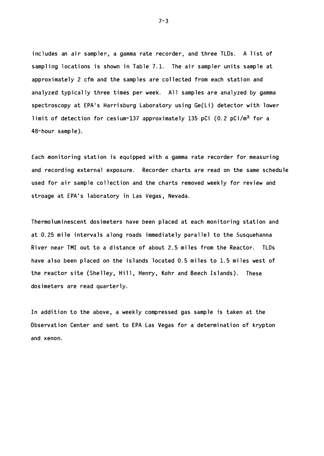includes an air sampler, a gamma rate recorder, and three TLDs. A list of sampling locations is shown in Table 7.1. The air sampler units sample at approximately 2 cfm and the samples are collected from each station and analyzed typically three times per week. All samples are analyzed by gamma spectroscopy at EPA's Harrisburg Laboratory using Ge(Li) detector with lower limit of detection for cesium-137 approximately 135 pCi (0.2 pCi/m<sup>3</sup> for a 48- hour sample).

Each monitoring station is equipped with a gamma rate recorder for measuring and recording external exposure. Recorder charts are read on the same schedule used for air sample collection and the charts removed weekly for review and stroage at EPA's laboratory in Las Vegas, Nevada.

Thermoluminescent dosimeters have been placed at each monitoring station and at 0.25 mile intervals along roads immediately parallel to the Susquehanna River near TMI out to a distance of about 2.5 miles from the Reactor. TLDs have also been placed on the islands located 0.5 miles to 1.5 miles west of the reactor site (Shelley, Hill, Henry, Kohr and Beech Islands). These dos imeters are read quarterly.

In addition to the above, a weekly compressed gas sample is taken at the Observation Center and sent to EPA Las Vegas for a determination of krypton and xenon.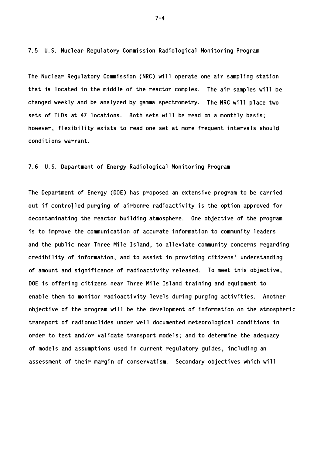7.5 U.S. Nuclear Regulatory Commission Radiological Monitoring Program

The Nuclear Regulatory Commission (NRC) will operate one air sampling station that is located in the middle of the reactor complex. The air samples will be changed weekly and be analyzed by gamma spectrometry. The NRC will place two sets of TLDs at 47 locations. Both sets will be read on a monthly basis; however, flexibility exists to read one set at more frequent intervals should conditions warrant.

### 7.6 U.S. Department of Energy Radiological Monitoring Program

The Department of Energy (DOE) has proposed an extensive program to be carried out if controlled purging of airbonre radioactivity is the option approved for decontaminating the reactor building atmosphere. One objective of the program is to improve the communication of accurate information to community leaders and the public near Three Mile Island, to alleviate community concerns regarding credibility of information, and to assist in providing citizens' understanding of amount and significance of radioactivity released. To meet this objective, DOE is offering citizens near Three Mile Island training and equipment to enable them to monitor radioactivity levels during purging activities. Another objective of the program will be the development of information on the atmospheric transport of radionuclides under well documented meteorological conditions in order to test and/or validate transport models; and to determine the adequacy of models and assumptions used in current regulatory guides, including an assessment of their margin of conservatism. Secondary objectives which will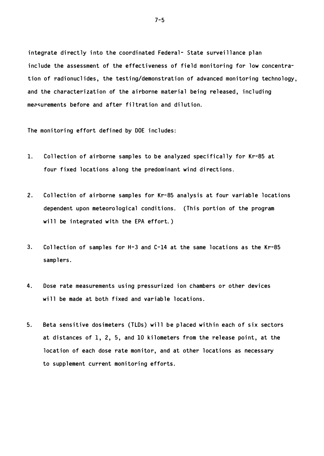integrate directly into the coordinated Federal- State surveillance plan include the assessment of the effectiveness of field monitoring for low concentration of radionuclides, the testing/demonstration of advanced monitoring technology, and the characterization of the airborne material being released, including measurements before and after filtration and dilution.

The monitoring effort defined by DOE includes:

- 1. Collection of airborne samples to be analyzed specifically for Kr-85 at four fixed locations along the predominant wind directions.
- 2. Collection of airborne samples for Kr-85 analysis at four variable locations dependent upon meteorological conditions. (This portion of the program will be integrated with the EPA effort.)
- 3. Collection of samples for H-3 and  $C-14$  at the same locations as the Kr-85 samplers.
- 4. Dose rate measurements using pressurized ion chambers or other devices will be made at both fixed and variable locations.
- 5. Beta sensitive dosimeters (TLDs) will be placed within each of six sectors at distances of  $1, 2, 5,$  and  $10$  kilometers from the release point, at the location of each dose rate monitor, and at other locations as necessary to supplement current monitoring efforts.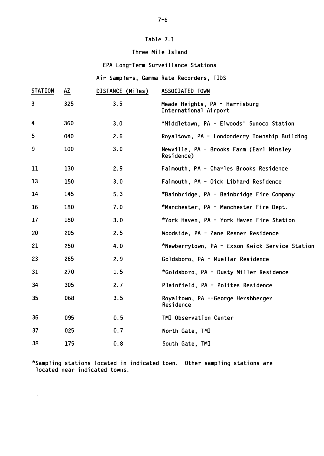# Table 7.1

# Three Mile Island

# EPA Long-Term Surveillance Stations

Air Samplers, Gamma Rate Recorders, TIDS

| <b>STATION</b> | <b>AZ</b> | DISTANCE (Miles) | ASSOCIATED TOWN                                         |
|----------------|-----------|------------------|---------------------------------------------------------|
| $\mathbf{3}$   | 325       | 3.5              | Meade Heights, PA - Harrisburg<br>International Airport |
| 4              | 360       | 3.0              | *Middletown, PA - Elwoods' Sunoco Station               |
| 5              | 040       | 2.6              | Royaltown, PA - Londonderry Township Building           |
| 9              | 100       | 3.0              | Newville, PA - Brooks Farm (Earl Ninsley<br>Residence)  |
| 11             | 130       | 2.9              | Falmouth, PA - Charles Brooks Residence                 |
| 13             | 150       | 3.0              | Falmouth, PA - Dick Libhard Residence                   |
| 14             | 145       | 5.3              | *Bainbridge, PA - Bainbridge Fire Company               |
| 16             | 180       | 7.0              | *Manchester, PA - Manchester Fire Dept.                 |
| 17             | 180       | 3.0              | *York Haven, PA - York Haven Fire Station               |
| 20             | 205       | 2.5              | Woodside, PA - Zane Resner Residence                    |
| 21             | 250       | 4.0              | *Newberrytown, PA - Exxon Kwick Service Station         |
| 23             | 265       | 2.9              | Goldsboro, PA - Muellar Residence                       |
| 31             | 270       | 1.5              | *Goldsboro, PA - Dusty Miller Residence                 |
| 34             | 305       | 2.7              | Plainfield, PA - Polites Residence                      |
| 35             | 068       | 3.5              | Royaltown, PA --George Hershberger<br>Residence         |
| 36             | 095       | 0.5              | TMI Observation Center                                  |
| 37             | 025       | 0.7              | North Gate, TMI                                         |
| 38             | 175       | 0.8              | South Gate, TMI                                         |
|                |           |                  |                                                         |

 $^{\star}$ Sampling stations located in indicated town.  $\,$  Other sampling stations are located near indicated towns.

 $\hat{\mathbf{x}}$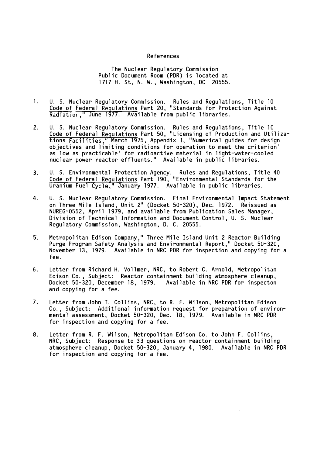#### References

The Nuclear Regulatory Commission Public Document Room (PDR) is located at 1717 H. St, N. W., Washington, DC 20555.

- 1. U. S. Nuclear Regulatory Commission. Rules and Regulations, Title 10 Code of Federal Regulations Part 20, "Standards for Protection Against  $Rationalation, "June 1977. \nAvalidable from public libraries.$
- 2. U. S. Nuclear Regulatory Commission. Rules and Regulations, Title 10 <u>Code of Federal Regulations</u> Part 50, "Licensing of Production and Utilizations Facilities," March 1975, Appendix I, "Numerical guides for design objectives and limiting conditions for operation to meet the criterion' as low as practicable' for radioactive material in light-water-cooled nuclear power reactor effluents." Available in public libraries.
- 3. U. S. Environmental Protection Agency. Rules and Regulations, Title 40 Code of Federal Regulations Part 190, "Environmental Standards for the Uranium Fuel Cycle," January 1977. Available in public libraries.
- 4. U. S. Nuclear Regulatory Commission. Final Environmental Impact Statement on Three Mile Island, Unit 2" (Docket 50-320), Dec. 1972. Reissued as NUREG-0552, April 1979, and available from Publication Sales Manager, Division of Technical Information and Document Control, U. S. Nuclear Regulatory Commission, Washington, D. C. 20555.
- 5. Metropolitan Edison Company," Three Mile Island Unit 2 Reactor Building Purge Program Safety Analysis and Environmental Report," Docket 50-320, November 13, 1979. Available in NRC PDR for inspection and copying for a fee.
- 6. Letter from Richard H. Vollmer, NRC, to Robert C. Arnold, Metropolitan Edison Co., Subject: Reactor containment building atmosphere cleanup, Docket 50-320, December 18, 1979. Available in NRC PDR for inspecton and copying for a fee.
- 7. Letter from John T. Collins, NRC, to R. F. Wilson, Metropolitan Edison Co., Subject: Additional information request for preparation of environmental assessment, Docket 50-320, Dec. 18, 1979. Available in NRC PDR for inspection and copying for a fee.
- 8. Letter from R. F. Wilson, Metropolitan Edison Co. to John F. Collins, NRC, Subject: Response to 33 questions on reactor containment building atmosphere cleanup, Docket 50-320, January 4, 1980. Available in NRC PDR for inspection and copying for a fee.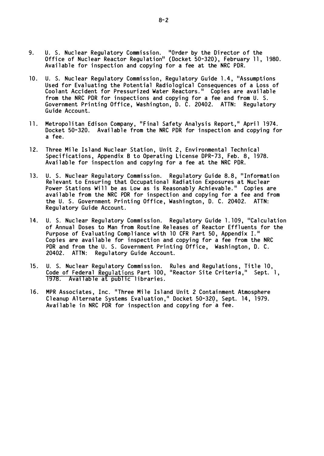- 9. U. S. Nuclear Regulatory Commission. "Order by the Director of the Office of Nuclear Reactor Regulation" (Docket 50-320), February 11, 1980. Available for inspection and copying for a fee at the NRC PDR.
- 10. U. S. Nuclear Regulatory Commission, Regulatory Guide 1.4, "Assumptions Used for Evaluating the Potential Radiological Consequences of a Loss of Coolant Accident for Pressurized Water Reactors." Copies are available from the NRC PDR for inspections and copying for a fee and from U. S. Government Printing Office, Washington, D. C. 20402. ATTN: Regulatory Guide Account.
- 11. Metropolitan Edison Company, "Final Safety Analysis Report," April 1974. Docket 50-320. Available from the NRC PDR for inspection and copying for a fee .
- 12. Three Mile Island Nuclear Station, Unit 2, Environmental Technical Specifications, Appendix B to Operating License DPR-73, Feb. 8, 1978. Available for inspection and copying for a fee at the NRC PDR.
- 13. U. S. Nuclear Regulatory Commission. Regulatory Guide 8.8, "Information Relevant to Ensuring that Occupational Radiation Exposures at Nuclear Power Stations Will be as Low as is Reasonably Achievable." Copies are available from the NRC PDR for inspection and copying for a fee and from the U. S. Government Printing Office, Washington, D. C. 20402. ATTN: Regulatory Guide Account.
- 14. U. S. Nuclear Regulatory Commission. Regulatory Guide 1.109, "Calculation of Annual Doses to Man from Routine Releases of Reactor Effluents for the Purpose of Evaluating Compliance with 10 CFR Part 50, Appendix I." Copies are available for inspection and copying for a fee from the NRC PDR and from the U. S. Government Printing Office, Washington, D. C. 20402. ATTN: Regulatory Guide Account.
- 15. U. S. Nuclear Regulatory Commission. Rules and Regulations, Title 10, Code of Federal Regul ati ons Part 100, 11 Reactor Si te Cri teri a,11 Sept. 1, 1978. Avai lable at public libraries.
- 16. MPR Associates, Inc. "Three Mile Island Unit 2 Containment Atmosphere Cleanup Alternate Systems Evaluation," Docket 50-320, Sept. 14, 1979. creanap Arternate Systems Evardation, Bocket 50 520, Sept<br>Available in NRC PDR for inspection and copying for a fee.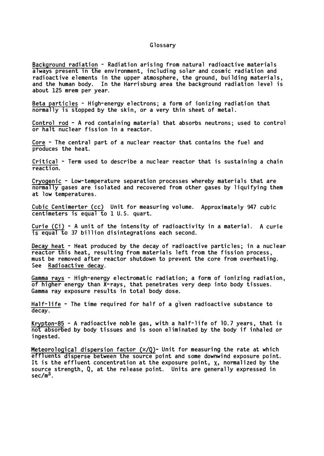## Glossary

Background radiation - Radiation arising from natural radioactive materials always present in the environment, including solar and cosmic radiation and radioactive elements in the upper atmosphere, the ground, building materials, and the human body. In the Harrisburg area the background radiation level is about 125 mrem per year.

Beta particles - High-energy electrons; a form of ionizing radiation that normally is stopped by the skin, or a very thin sheet of metal.

Control rod - A rod containing material that absorbs neutrons; used to control or halt nucl ear fission in a reactor.

Core - The central part of a nuclear reactor that contains the fuel and produces the heat.

Critical - Term used to describe a nuclear reactor that is sustaining a chain reaction.

Cryogenic - Low-temperature separation processes whereby materials that are normally gases are isolated and recovered from other gases by liquifying them at low temperatures.

Cubic Centimerter (cc) Unit for measuring volume. Approximately 947 cubic centimeters is equal to 1 U.S. quart.

Curie  $(Ci)$  - A unit of the intensity of radioactivity in a material. A curie  $\overline{15}$  equal  $\overline{t}$  37 billion disintegrations each second.

Decay heat  $-$  Heat produced by the decay of radioactive particles; in a nuclear reactor this heat, resulting from materials left from the fission process, must be removed after reactor shutdown to prevent the core from overheating. See Radioactive decay.

Gamma rays - High-energy electromatic radiation; a form of ionizing radiation, of higher energy than X-rays, that penetrates very deep into body tissues. Gamma ray exposure results in total body dose.

Half-life - The time required for half of a given radioactive substance to decay.

Krypton-85 - A radioactive noble gas, with a half-life of  $10.7$  years, that is not absorbed by body tissues and is soon eliminated by the body if inhaled or i ngested .

Meteorological dispersion factor  $(x/Q)$ - Unit for measuring the rate at which effluents disperse between the source point and some downwind exposure point. It is the effluent concentration at the exposure point,  $\chi$ , normalized by the source strength, Q, at the release point. Units are generally expressed in  $sec/m<sup>3</sup>$ .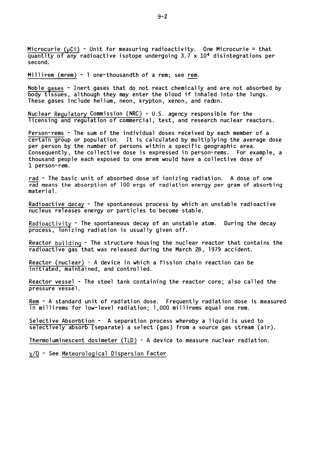Microcurie ( $\mu$ Ci) - Unit for measuring radioactivity. One Microcurie = that quantity of any radioactive isotope undergoing  $3.7 \times 10^4$  disintegrations per second.

Millirem (mrem) - 1 one-thousandth of a rem; see rem.

Noble gases - Inert gases that do not react chemically and are not absorbed by body tissues, although they may enter the blood if inhaled into the lungs. These gases include helium, neon, krypton, xenon, and radon.

Nuclear Regulatory Commission (NRC) - U.S. agency responsible for the licensing and regulation of commercial, test, and research nuclear reactors.

Person-rems - The sum of the individual doses received by each member of a certain group or population. It is calculated by multiplying the average dose per person by the number of persons within a specific geographic area. Consequently, the collective dose is expressed in person-rems. For example, a thousand people each exposed to one mrem would have a collective dose of 1 person- rem.

rad - The basic unit of absorbed dose of ionizing radiation. A dose of one rad means the absorption of 100 ergs of radiation energy per gram of absorbing material.

Radioactive decay - The spontaneous process by which an unstable radioactive nucleus releases energy or particles to become stable.

Radioactivity - The spontaneous decay of an unstable atom. During the decay process, ionizing radiation is usually given off.

Reactor building - The structure housing the nuclear reactor that contains the radioactive gas that was released during the March 28, 1979 accident.

Reactor (nuclear) - A device in which a fission chain reaction can be initiated, maintained, and controlled.

Reactor vessel - The steel tank containing the reactor core; also called the pressure vessel.

Rem - A standard unit of radiation dose. Frequently radiation dose is measured  $\overline{\text{in}}$  millirems for low-level radiation; 1,000 millirems equal one rem.

Selective Absorbtion - A separation process whereby a liquid is used to  $s$ electively absorb (separate) a select (gas) from a source gas stream (air).

Thermoluminescent dosimeter (TLD)  $-$  A device to measure nuclear radiation.

 $\chi$ /Q - See Meteorological Dispersion Factor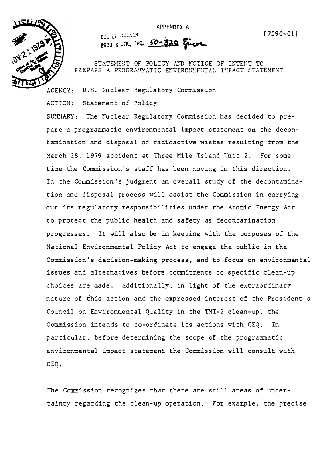APPENDIX A



RIGHT NUMBER PROD. & UTIL FAC. 50-320 Fince

STATEMENT OF POLICY AND NOTICE OF INTENT TO PREPARE A PROGRAMMATIC ENVIRONMENTAL IMPACT STATEMENT

AGENCY: U.S. Nuclear Regulatory Commission

ACTION: Statement of Policy

SUMMIARY: The Nuclear Regulatory Commission has decided to prepare a programmatic environmental impact statement on the decontamination and disposal of radioactive wastes resulting from the March 28, 1979 accident at Three Mile Island Unit 2. For some time the Commission's staff has been moving in this direction. In the Commission's judgment an overall study of the decontamination and disposal process will assist the Commission in carrying out its regulatory responsibilities under the Atomic Energy Act to protect the public health and safety as decontamination progresses. It will also be in keeping with the purposes of the National Environmental Policy Act to engage the public in the Commission's decision-making process, and to focus on environmental issues and alternatives before commitments to specific clean-up choices are made. Additionally, in light of the extraordinary nature of this action and the expressed interest of the President's Council on Environmental Quality in the TMI-2 clean-up, the Commission intends to co-ordinate its actions with CEQ. In particular, before determining the scope of the programmatic environmental impact statement the Commission will consult with CEQ.

The Commission recognizes that there are still areas of uncertainty regarding the clean-up operation. For example, the precise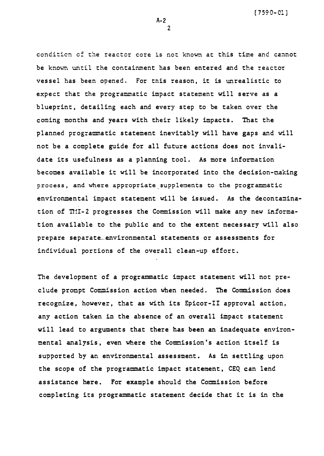[ 7 59 0- 01 ]

condition of the reactor core is not known at this time and cannot be known until the containment has been entered and the reactor vessel has been opened. For this reason, it is unrealistic to expect that the programmatic impact statement will serve as a blueprint, detailing each and every step to be taken over the coming months and years with their likely impacts. That the planned programmatic statement inevitably will have gaps and will not be a complete guide for all future actions does not invalidate its usefulness as a planning tool. As more information becomes available it will be incorporated into the decision-making process, and where appropriate supplements to the programmatic environmental impact statement will be issued. As the decontamination of THI-2 progresses the Commission will make any new information available to the public and to the extent necessary will also prepare separate environmental statements or assessments for individual portions of the overall clean-up effort.

The development of a programmatic impact statement will not preclude prompt Commission action when needed. The Commission does recognize, however, that as with its Epicor-II approval action, any action taken in the absence of an overall impact statement will lead to arguments that there has been an inadequate environmental analysis, even where the Commission's action itself is supported by an environmental assessment. As in settling upon the scope of the programmatic impact statement, CEQ can lend assistance here. For example should the Commission before completing its programmatic statement decide that it is in the

A-2  $\mathfrak{p}$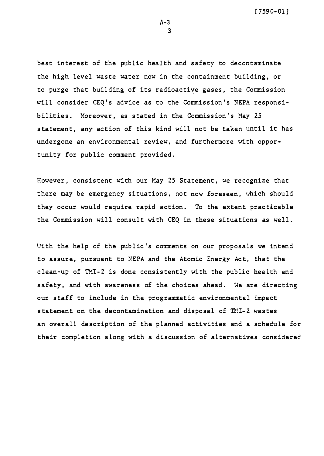best interest of the public health and safety to decontaminate the high level waste water now in the containment building, or to purge that building of its radioactive gases, the Commission will consider CEQ's advice as to the Commission's NEPA responsibilities. Moreover, as stated in the Commission's May 25 statement, any action of this kind will not be taken until it has undergone an environmental review, and furthermore with opportunity for public comment provided.

However, consistent with our May 25 Statement, we recognize that there may be emergency situations, not now foreseen, which should they occur would require rapid action. To the extent practicable the Commission will consult with CEQ in these situations as well.

With the help of the public's comments on our proposals we intend to assure, pursuant to NEPA and the Atomic Energy Act, that the clean-up of TMI-2 is done consistently with the public health and safety, and with awareness of the choices ahead. We are directing our staff to include in the programmatic environmental impact statement on the decontamination and disposal of TMI-2 wastes an overall description of the planned activities and a schedule for their completion along with a discussion of alternatives considered

A-3 3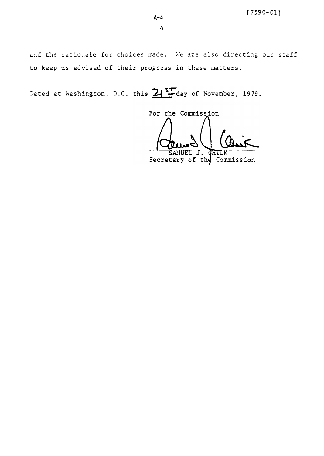and the rationale for choices made. We are also directing our staff to keep us advised of their progress in these matters.

Dated at Washington, D.C. this 21 Soday of November, 1979.

For the Commission J. Secretary of the Commission